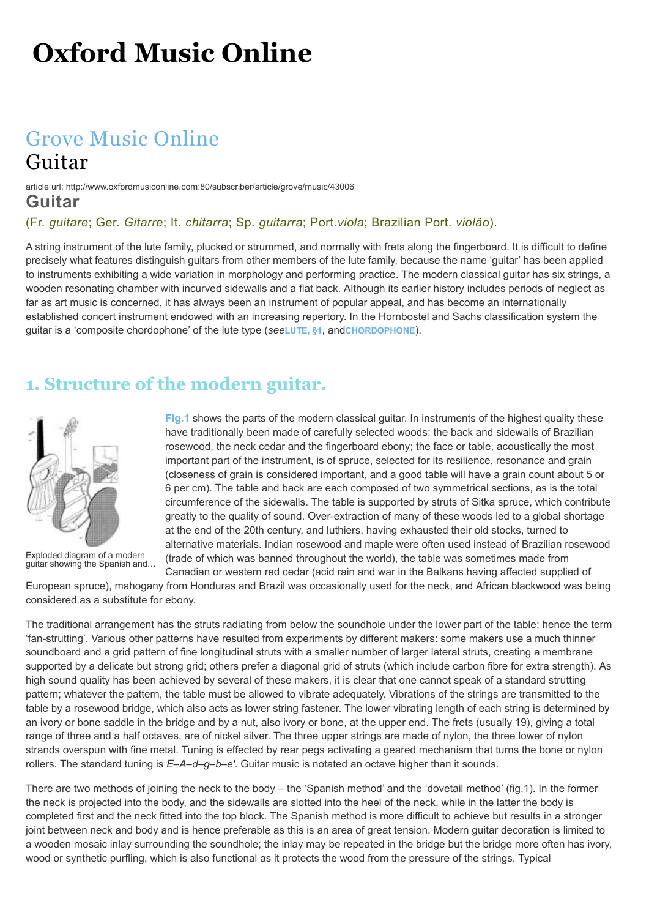# **Oxford Music Online**

# [Grove Music Online](http://www.oxfordmusiconline.com/subscriber/book/omo_gmo) Guitar

#### article url: http://www.oxfordmusiconline.com:80/subscriber/article/grove/music/43006 **Guitar**

#### (Fr. *guitare*; Ger. *Gitarre*; It. *chitarra*; Sp. *guitarra*; Port.*viola*; Brazilian Port. *violão*).

A string instrument of the lute family, plucked or strummed, and normally with frets along the fingerboard. It is difficult to define precisely what features distinguish guitars from other members of the lute family, because the name 'guitar' has been applied to instruments exhibiting a wide variation in morphology and performing practice. The modern classical guitar has six strings, a wooden resonating chamber with incurved sidewalls and a flat back. Although its earlier history includes periods of neglect as far as art music is concerned, it has always been an instrument of popular appeal, and has become an internationally established concert instrument endowed with an increasing repertory. In the Hornbostel and Sachs classification system the guitar is a 'composite chordophone' of the lute type (*see***[LUTE, §1](http://www.oxfordmusiconline.com/subscriber/article/grove/music/S40074.1)**, and**[CHORDOPHONE](http://www.oxfordmusiconline.com/subscriber/article/grove/music/05673)**).

### **1. Structure of the modern guitar.**

<span id="page-0-0"></span>

[Exploded diagram of a modern](http://www.oxfordmusiconline.com/subscriber/article/img/grove/music/F002451) guitar showing the Spanish and…

**[Fig.1](#page-0-0)** shows the parts of the modern classical guitar. In instruments of the highest quality these have traditionally been made of carefully selected woods: the back and sidewalls of Brazilian rosewood, the neck cedar and the fingerboard ebony; the face or table, acoustically the most important part of the instrument, is of spruce, selected for its resilience, resonance and grain (closeness of grain is considered important, and a good table will have a grain count about 5 or 6 per cm). The table and back are each composed of two symmetrical sections, as is the total circumference of the sidewalls. The table is supported by struts of Sitka spruce, which contribute greatly to the quality of sound. Over-extraction of many of these woods led to a global shortage at the end of the 20th century, and luthiers, having exhausted their old stocks, turned to alternative materials. Indian rosewood and maple were often used instead of Brazilian rosewood (trade of which was banned throughout the world), the table was sometimes made from Canadian or western red cedar (acid rain and war in the Balkans having affected supplied of

European spruce), mahogany from Honduras and Brazil was occasionally used for the neck, and African blackwood was being considered as a substitute for ebony.

The traditional arrangement has the struts radiating from below the soundhole under the lower part of the table; hence the term 'fan-strutting'. Various other patterns have resulted from experiments by different makers: some makers use a much thinner soundboard and a grid pattern of fine longitudinal struts with a smaller number of larger lateral struts, creating a membrane supported by a delicate but strong grid; others prefer a diagonal grid of struts (which include carbon fibre for extra strength). As high sound quality has been achieved by several of these makers, it is clear that one cannot speak of a standard strutting pattern; whatever the pattern, the table must be allowed to vibrate adequately. Vibrations of the strings are transmitted to the table by a rosewood bridge, which also acts as lower string fastener. The lower vibrating length of each string is determined by an ivory or bone saddle in the bridge and by a nut, also ivory or bone, at the upper end. The frets (usually 19), giving a total range of three and a half octaves, are of nickel silver. The three upper strings are made of nylon, the three lower of nylon strands overspun with fine metal. Tuning is effected by rear pegs activating a geared mechanism that turns the bone or nylon rollers. The standard tuning is *E–A–d–g–b–e′*. Guitar music is notated an octave higher than it sounds.

There are two methods of joining the neck to the body – the 'Spanish method' and the 'dovetail method' (fig.1). In the former the neck is projected into the body, and the sidewalls are slotted into the heel of the neck, while in the latter the body is completed first and the neck fitted into the top block. The Spanish method is more difficult to achieve but results in a stronger joint between neck and body and is hence preferable as this is an area of great tension. Modern guitar decoration is limited to a wooden mosaic inlay surrounding the soundhole; the inlay may be repeated in the bridge but the bridge more often has ivory, wood or synthetic purfling, which is also functional as it protects the wood from the pressure of the strings. Typical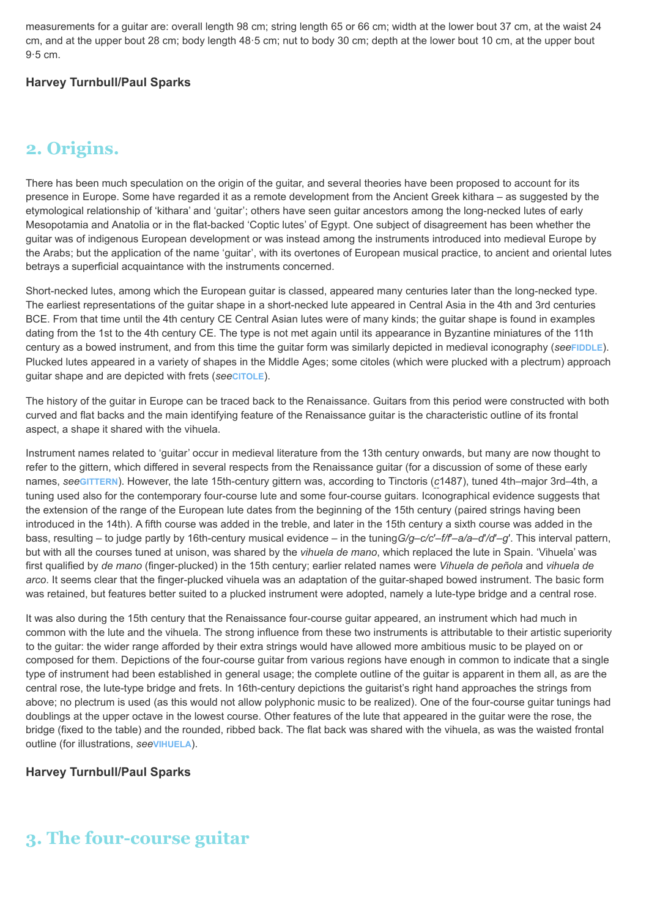measurements for a guitar are: overall length 98 cm; string length 65 or 66 cm; width at the lower bout 37 cm, at the waist 24 cm, and at the upper bout 28 cm; body length 48·5 cm; nut to body 30 cm; depth at the lower bout 10 cm, at the upper bout 9·5 cm.

#### **Harvey Turnbull/Paul Sparks**

### **2. Origins.**

There has been much speculation on the origin of the guitar, and several theories have been proposed to account for its presence in Europe. Some have regarded it as a remote development from the Ancient Greek kithara – as suggested by the etymological relationship of 'kithara' and 'guitar'; others have seen guitar ancestors among the long-necked lutes of early Mesopotamia and Anatolia or in the flat-backed 'Coptic lutes' of Egypt. One subject of disagreement has been whether the guitar was of indigenous European development or was instead among the instruments introduced into medieval Europe by the Arabs; but the application of the name 'guitar', with its overtones of European musical practice, to ancient and oriental lutes betrays a superficial acquaintance with the instruments concerned.

Short-necked lutes, among which the European guitar is classed, appeared many centuries later than the long-necked type. The earliest representations of the guitar shape in a short-necked lute appeared in Central Asia in the 4th and 3rd centuries BCE. From that time until the 4th century CE Central Asian lutes were of many kinds; the guitar shape is found in examples dating from the 1st to the 4th century CE. The type is not met again until its appearance in Byzantine miniatures of the 11th century as a bowed instrument, and from this time the guitar form was similarly depicted in medieval iconography (*see***[FIDDLE](http://www.oxfordmusiconline.com/subscriber/article/grove/music/09596)**). Plucked lutes appeared in a variety of shapes in the Middle Ages; some citoles (which were plucked with a plectrum) approach guitar shape and are depicted with frets (*see***[CITOLE](http://www.oxfordmusiconline.com/subscriber/article/grove/music/05829)**).

The history of the guitar in Europe can be traced back to the Renaissance. Guitars from this period were constructed with both curved and flat backs and the main identifying feature of the Renaissance guitar is the characteristic outline of its frontal aspect, a shape it shared with the vihuela.

Instrument names related to 'guitar' occur in medieval literature from the 13th century onwards, but many are now thought to refer to the gittern, which differed in several respects from the Renaissance guitar (for a discussion of some of these early names, *see***[GITTERN](http://www.oxfordmusiconline.com/subscriber/article/grove/music/11223)**). However, the late 15th-century gittern was, according to Tinctoris (*c*1487), tuned 4th–major 3rd–4th, a tuning used also for the contemporary four-course lute and some four-course guitars. Iconographical evidence suggests that the extension of the range of the European lute dates from the beginning of the 15th century (paired strings having been introduced in the 14th). A fifth course was added in the treble, and later in the 15th century a sixth course was added in the bass, resulting – to judge partly by 16th-century musical evidence – in the tuning*G/g*–*c/c*′–*f/f*′–*a/a*–*d*′*/d*′–*g*′. This interval pattern, but with all the courses tuned at unison, was shared by the *vihuela de mano*, which replaced the lute in Spain. 'Vihuela' was first qualified by *de mano* (finger-plucked) in the 15th century; earlier related names were *Vihuela de peñola* and *vihuela de arco*. It seems clear that the finger-plucked vihuela was an adaptation of the guitar-shaped bowed instrument. The basic form was retained, but features better suited to a plucked instrument were adopted, namely a lute-type bridge and a central rose.

It was also during the 15th century that the Renaissance four-course guitar appeared, an instrument which had much in common with the lute and the vihuela. The strong influence from these two instruments is attributable to their artistic superiority to the guitar: the wider range afforded by their extra strings would have allowed more ambitious music to be played on or composed for them. Depictions of the four-course guitar from various regions have enough in common to indicate that a single type of instrument had been established in general usage; the complete outline of the guitar is apparent in them all, as are the central rose, the lute-type bridge and frets. In 16th-century depictions the guitarist's right hand approaches the strings from above; no plectrum is used (as this would not allow polyphonic music to be realized). One of the four-course guitar tunings had doublings at the upper octave in the lowest course. Other features of the lute that appeared in the guitar were the rose, the bridge (fixed to the table) and the rounded, ribbed back. The flat back was shared with the vihuela, as was the waisted frontal outline (for illustrations, *see***[VIHUELA](http://www.oxfordmusiconline.com/subscriber/article/grove/music/29360)**).

#### **Harvey Turnbull/Paul Sparks**

# **3. The four-course guitar**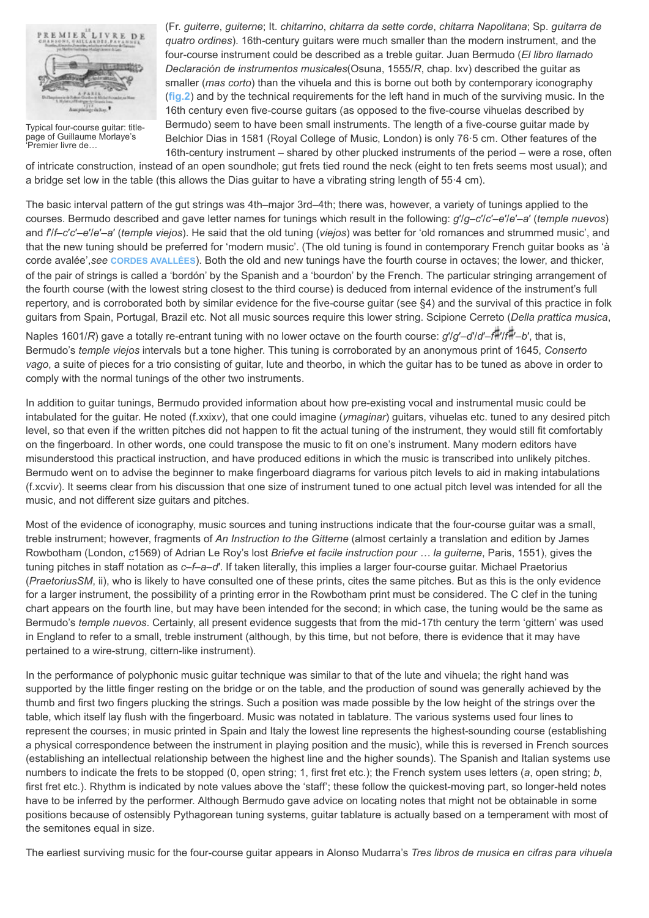<span id="page-2-0"></span>

[Typical four-course guitar: title](http://www.oxfordmusiconline.com/subscriber/article/img/grove/music/F010635)page of Guillaume Morlaye's 'Premier livre de…

(Fr. *guiterre*, *guiterne*; It. *chitarrino*, *chitarra da sette corde*, *chitarra Napolitana*; Sp. *guitarra de quatro ordines*). 16th-century guitars were much smaller than the modern instrument, and the four-course instrument could be described as a treble guitar. Juan Bermudo (*El libro llamado Declaración de instrumentos musicales*(Osuna, 1555/*R*, chap. lxv) described the guitar as smaller (*mas corto*) than the vihuela and this is borne out both by contemporary iconography (**[fig.2](#page-2-0)**) and by the technical requirements for the left hand in much of the surviving music. In the 16th century even five-course guitars (as opposed to the five-course vihuelas described by Bermudo) seem to have been small instruments. The length of a five-course guitar made by Belchior Dias in 1581 (Royal College of Music, London) is only 76·5 cm. Other features of the 16th-century instrument – shared by other plucked instruments of the period – were a rose, often

of intricate construction, instead of an open soundhole; gut frets tied round the neck (eight to ten frets seems most usual); and a bridge set low in the table (this allows the Dias guitar to have a vibrating string length of 55·4 cm).

The basic interval pattern of the gut strings was 4th–major 3rd–4th; there was, however, a variety of tunings applied to the courses. Bermudo described and gave letter names for tunings which result in the following: *g*′/*g*–*c*′/*c*′–*e*′/*e*′–*a*′ (*temple nuevos*) and *f*′/*f*–*c*′*c*′–*e*′/*e*′–*a*′ (*temple viejos*). He said that the old tuning (*viejos*) was better for 'old romances and strummed music', and that the new tuning should be preferred for 'modern music'. (The old tuning is found in contemporary French guitar books as 'à corde avalée',*see* **[CORDES AVALLÉES](http://www.oxfordmusiconline.com/subscriber/article/grove/music/06470)**). Both the old and new tunings have the fourth course in octaves; the lower, and thicker, of the pair of strings is called a 'bordón' by the Spanish and a 'bourdon' by the French. The particular stringing arrangement of the fourth course (with the lowest string closest to the third course) is deduced from internal evidence of the instrument's full repertory, and is corroborated both by similar evidence for the five-course guitar (see §4) and the survival of this practice in folk guitars from Spain, Portugal, Brazil etc. Not all music sources require this lower string. Scipione Cerreto (*Della prattica musica*,

Naples 1601/*R*) gave a totally re-entrant tuning with no lower octave on the fourth course: *g*′/*g*′–*d*′/*d*′–*f* ′/*f* ′–*b*′, that is, Bermudo's *temple viejos* intervals but a tone higher. This tuning is corroborated by an anonymous print of 1645, *Conserto vago*, a suite of pieces for a trio consisting of guitar, lute and theorbo, in which the guitar has to be tuned as above in order to comply with the normal tunings of the other two instruments.

In addition to guitar tunings, Bermudo provided information about how pre-existing vocal and instrumental music could be intabulated for the guitar. He noted (f.xxix*v*), that one could imagine (*ymaginar*) guitars, vihuelas etc. tuned to any desired pitch level, so that even if the written pitches did not happen to fit the actual tuning of the instrument, they would still fit comfortably on the fingerboard. In other words, one could transpose the music to fit on one's instrument. Many modern editors have misunderstood this practical instruction, and have produced editions in which the music is transcribed into unlikely pitches. Bermudo went on to advise the beginner to make fingerboard diagrams for various pitch levels to aid in making intabulations (f.xcvi*v*). It seems clear from his discussion that one size of instrument tuned to one actual pitch level was intended for all the music, and not different size guitars and pitches.

Most of the evidence of iconography, music sources and tuning instructions indicate that the four-course guitar was a small, treble instrument; however, fragments of *An Instruction to the Gitterne* (almost certainly a translation and edition by James Rowbotham (London, *c*1569) of Adrian Le Roy's lost *Briefve et facile instruction pour … la guiterne*, Paris, 1551), gives the tuning pitches in staff notation as *c*–*f*–*a*–*d*′. If taken literally, this implies a larger four-course guitar. Michael Praetorius (*PraetoriusSM*, ii), who is likely to have consulted one of these prints, cites the same pitches. But as this is the only evidence for a larger instrument, the possibility of a printing error in the Rowbotham print must be considered. The C clef in the tuning chart appears on the fourth line, but may have been intended for the second; in which case, the tuning would be the same as Bermudo's *temple nuevos*. Certainly, all present evidence suggests that from the mid-17th century the term 'gittern' was used in England to refer to a small, treble instrument (although, by this time, but not before, there is evidence that it may have pertained to a wire-strung, cittern-like instrument).

In the performance of polyphonic music quitar technique was similar to that of the lute and vihuela; the right hand was supported by the little finger resting on the bridge or on the table, and the production of sound was generally achieved by the thumb and first two fingers plucking the strings. Such a position was made possible by the low height of the strings over the table, which itself lay flush with the fingerboard. Music was notated in tablature. The various systems used four lines to represent the courses; in music printed in Spain and Italy the lowest line represents the highest-sounding course (establishing a physical correspondence between the instrument in playing position and the music), while this is reversed in French sources (establishing an intellectual relationship between the highest line and the higher sounds). The Spanish and Italian systems use numbers to indicate the frets to be stopped (0, open string; 1, first fret etc.); the French system uses letters (*a*, open string; *b*, first fret etc.). Rhythm is indicated by note values above the 'staff'; these follow the quickest-moving part, so longer-held notes have to be inferred by the performer. Although Bermudo gave advice on locating notes that might not be obtainable in some positions because of ostensibly Pythagorean tuning systems, guitar tablature is actually based on a temperament with most of the semitones equal in size.

The earliest surviving music for the four-course guitar appears in Alonso Mudarra's *Tres libros de musica en cifras para vihuela*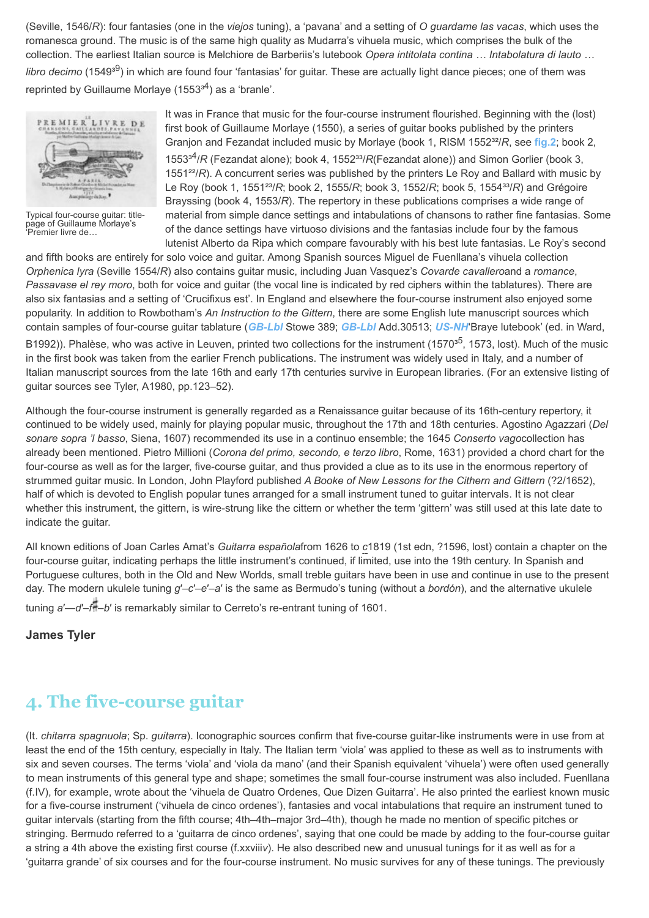(Seville, 1546/*R*): four fantasies (one in the *viejos* tuning), a 'pavana' and a setting of *O guardame las vacas*, which uses the romanesca ground. The music is of the same high quality as Mudarra's vihuela music, which comprises the bulk of the collection. The earliest Italian source is Melchiore de Barberiis's lutebook *Opera intitolata contina … Intabolatura di lauto …* libro decimo (1549<sup>39</sup>) in which are found four 'fantasias' for guitar. These are actually light dance pieces; one of them was reprinted by Guillaume Morlaye (1553<sup>34</sup>) as a 'branle'.



[Typical four-course guitar: title](http://www.oxfordmusiconline.com/subscriber/article/img/grove/music/F010635)page of Guillaume Morlaye's 'Premier livre de…

It was in France that music for the four-course instrument flourished. Beginning with the (lost) first book of Guillaume Morlaye (1550), a series of guitar books published by the printers Granjon and Fezandat included music by Morlaye (book 1, RISM 1552<sup>32</sup>/*R*, see [fig.2](#page-2-0); book 2, 1553<sup>34</sup>/*R* (Fezandat alone); book 4, 1552<sup>33</sup>/*R*(Fezandat alone)) and Simon Gorlier (book 3, 1551²²/*R*). A concurrent series was published by the printers Le Roy and Ballard with music by Le Roy (book 1, 1551<sup>23</sup>/*R*; book 2, 1555/*R*; book 3, 1552/*R*; book 5, 1554<sup>33</sup>/*R*) and Grégoire Brayssing (book 4, 1553/*R*). The repertory in these publications comprises a wide range of material from simple dance settings and intabulations of chansons to rather fine fantasias. Some of the dance settings have virtuoso divisions and the fantasias include four by the famous lutenist Alberto da Ripa which compare favourably with his best lute fantasias. Le Roy's second

and fifth books are entirely for solo voice and guitar. Among Spanish sources Miguel de Fuenllana's vihuela collection *Orphenica lyra* (Seville 1554/*R*) also contains guitar music, including Juan Vasquez's *Covarde cavallero*and a *romance*, *Passavase el rey moro*, both for voice and guitar (the vocal line is indicated by red ciphers within the tablatures). There are also six fantasias and a setting of 'Crucifixus est'. In England and elsewhere the four-course instrument also enjoyed some popularity. In addition to Rowbotham's *An Instruction to the Gittern*, there are some English lute manuscript sources which contain samples of four-course guitar tablature (*[GB-Lbl](http://www.oxfordmusiconline.com/subscriber/article_citations/grove/music/43006#abbr-explained)* Stowe 389; *[GB-Lbl](http://www.oxfordmusiconline.com/subscriber/article_citations/grove/music/43006#abbr-explained)* Add.30513; *[US-NH](http://www.oxfordmusiconline.com/subscriber/article_citations/grove/music/43006#abbr-explained)*'Braye lutebook' (ed. in Ward,

B1992)). Phalèse, who was active in Leuven, printed two collections for the instrument (1570<sup>35</sup>, 1573, lost). Much of the music in the first book was taken from the earlier French publications. The instrument was widely used in Italy, and a number of Italian manuscript sources from the late 16th and early 17th centuries survive in European libraries. (For an extensive listing of guitar sources see Tyler, A1980, pp.123–52).

Although the four-course instrument is generally regarded as a Renaissance guitar because of its 16th-century repertory, it continued to be widely used, mainly for playing popular music, throughout the 17th and 18th centuries. Agostino Agazzari (*Del sonare sopra 'l basso*, Siena, 1607) recommended its use in a continuo ensemble; the 1645 *Conserto vago*collection has already been mentioned. Pietro Millioni (*Corona del primo, secondo, e terzo libro*, Rome, 1631) provided a chord chart for the four-course as well as for the larger, five-course guitar, and thus provided a clue as to its use in the enormous repertory of strummed guitar music. In London, John Playford published *A Booke of New Lessons for the Cithern and Gittern* (?2/1652), half of which is devoted to English popular tunes arranged for a small instrument tuned to guitar intervals. It is not clear whether this instrument, the gittern, is wire-strung like the cittern or whether the term 'gittern' was still used at this late date to indicate the guitar.

All known editions of Joan Carles Amat's *Guitarra española*from 1626 to *c*1819 (1st edn, ?1596, lost) contain a chapter on the four-course guitar, indicating perhaps the little instrument's continued, if limited, use into the 19th century. In Spanish and Portuguese cultures, both in the Old and New Worlds, small treble guitars have been in use and continue in use to the present day. The modern ukulele tuning *g*′–*c*′–*e*′–*a*′ is the same as Bermudo's tuning (without a *bordón*), and the alternative ukulele tuning *a*′—*d*′–*f* –*b*′ is remarkably similar to Cerreto's re-entrant tuning of 1601.

**James Tyler**

# **4. The five-course guitar**

(It. *chitarra spagnuola*; Sp. *guitarra*). Iconographic sources confirm that five-course guitar-like instruments were in use from at least the end of the 15th century, especially in Italy. The Italian term 'viola' was applied to these as well as to instruments with six and seven courses. The terms 'viola' and 'viola da mano' (and their Spanish equivalent 'vihuela') were often used generally to mean instruments of this general type and shape; sometimes the small four-course instrument was also included. Fuenllana (f.IV), for example, wrote about the 'vihuela de Quatro Ordenes, Que Dizen Guitarra'. He also printed the earliest known music for a five-course instrument ('vihuela de cinco ordenes'), fantasies and vocal intabulations that require an instrument tuned to guitar intervals (starting from the fifth course; 4th–4th–major 3rd–4th), though he made no mention of specific pitches or stringing. Bermudo referred to a 'guitarra de cinco ordenes', saying that one could be made by adding to the four-course guitar a string a 4th above the existing first course (f.xxviii*v*). He also described new and unusual tunings for it as well as for a 'guitarra grande' of six courses and for the four-course instrument. No music survives for any of these tunings. The previously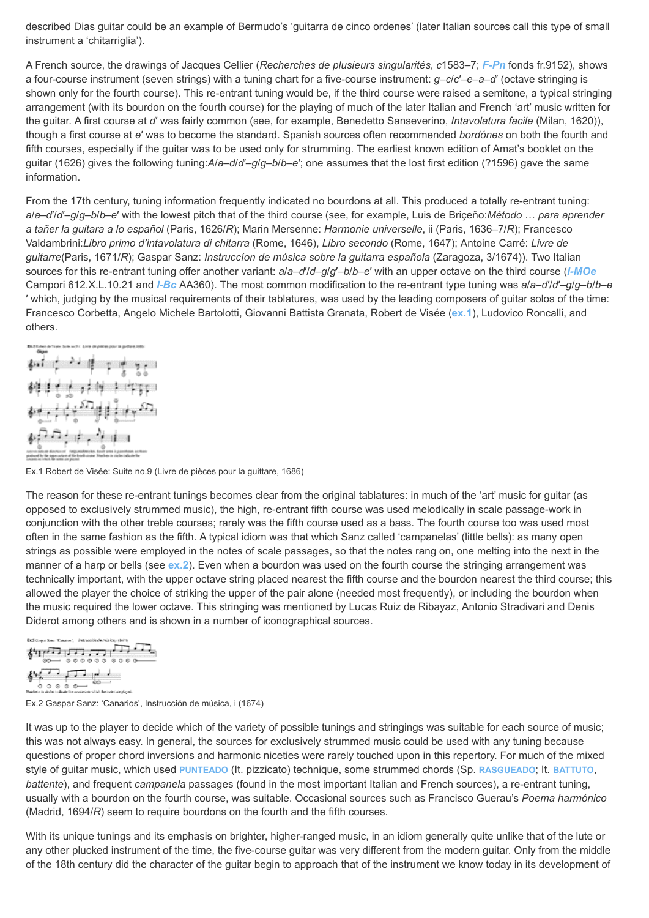described Dias guitar could be an example of Bermudo's 'guitarra de cinco ordenes' (later Italian sources call this type of small instrument a 'chitarriglia').

A French source, the drawings of Jacques Cellier (*Recherches de plusieurs singularités*, *c*1583–7; *[F-Pn](http://www.oxfordmusiconline.com/subscriber/article_citations/grove/music/43006#abbr-explained)* fonds fr.9152), shows a four-course instrument (seven strings) with a tuning chart for a five-course instrument: *g*–*c*/*c*′–*e*–*a*–*d*′ (octave stringing is shown only for the fourth course). This re-entrant tuning would be, if the third course were raised a semitone, a typical stringing arrangement (with its bourdon on the fourth course) for the playing of much of the later Italian and French 'art' music written for the guitar. A first course at *d*′ was fairly common (see, for example, Benedetto Sanseverino, *Intavolatura facile* (Milan, 1620)), though a first course at *e*′ was to become the standard. Spanish sources often recommended *bordónes* on both the fourth and fifth courses, especially if the guitar was to be used only for strumming. The earliest known edition of Amat's booklet on the guitar (1626) gives the following tuning:*A*/*a*–*d*/*d*′–*g*/*g*–*b*/*b*–*e*′; one assumes that the lost first edition (?1596) gave the same information.

From the 17th century, tuning information frequently indicated no bourdons at all. This produced a totally re-entrant tuning: *a*/*a*–*d*′/*d*′–*g*/*g*–*b*/*b*–*e*′ with the lowest pitch that of the third course (see, for example, Luis de Briçeño:*Método* … *para aprender a tañer la guitara a lo español* (Paris, 1626/*R*); Marin Mersenne: *Harmonie universelle*, ii (Paris, 1636–7/*R*); Francesco Valdambrini:*Libro primo d'intavolatura di chitarra* (Rome, 1646), *Libro secondo* (Rome, 1647); Antoine Carré: *Livre de guitarre*(Paris, 1671/*R*); Gaspar Sanz: *Instruccíon de música sobre la guitarra española* (Zaragoza, 3/1674)). Two Italian sources for this re-entrant tuning offer another variant: *a*/*a*–*d*′/*d*–*g*/*g*′–*b*/*b*–*e*′ with an upper octave on the third course (*[I-MOe](http://www.oxfordmusiconline.com/subscriber/article_citations/grove/music/43006#abbr-explained)* Campori 612.X.L.10.21 and *[I-Bc](http://www.oxfordmusiconline.com/subscriber/article_citations/grove/music/43006#abbr-explained)* AA360). The most common modification to the re-entrant type tuning was *a*/*a*–*d*′/*d*′–*g*/*g*–*b*/*b*–*e* ′ which, judging by the musical requirements of their tablatures, was used by the leading composers of guitar solos of the time: Francesco Corbetta, Angelo Michele Bartolotti, Giovanni Battista Granata, Robert de Visée (**[ex.1](#page-4-0)**), Ludovico Roncalli, and others.

<span id="page-4-0"></span>

Ex.1 Robert de Visée: Suite no.9 (Livre de pièces pour la guittare, 1686)

The reason for these re-entrant tunings becomes clear from the original tablatures: in much of the 'art' music for guitar (as opposed to exclusively strummed music), the high, re-entrant fifth course was used melodically in scale passage-work in conjunction with the other treble courses; rarely was the fifth course used as a bass. The fourth course too was used most often in the same fashion as the fifth. A typical idiom was that which Sanz called 'campanelas' (little bells): as many open strings as possible were employed in the notes of scale passages, so that the notes rang on, one melting into the next in the manner of a harp or bells (see **[ex.2](#page-4-1)**). Even when a bourdon was used on the fourth course the stringing arrangement was technically important, with the upper octave string placed nearest the fifth course and the bourdon nearest the third course; this allowed the player the choice of striking the upper of the pair alone (needed most frequently), or including the bourdon when the music required the lower octave. This stringing was mentioned by Lucas Ruiz de Ribayaz, Antonio Stradivari and Denis Diderot among others and is shown in a number of iconographical sources.

```
EX2 Gregori Sono: "Canarion", - Petruscolón de Pelaking (de
\sum_{i=1}^{n} \sum_{i=1}^{n} \sum_{i=1}^{n} \sum_{i=1}^{n} \sum_{j=1}^{n} \sum_{j=1}^{n} \sum_{j=1}^{n} \sum_{j=1}^{n} \sum_{j=1}^{n} \sum_{j=1}^{n} \sum_{j=1}^{n} \sum_{j=1}^{n} \sum_{j=1}^{n} \sum_{j=1}^{n} \sum_{j=1}^{n} \sum_{j=1}^{n} \sum_{j=1}^{n} \sum_{j=1}^{n} \sum_{j=1}^{n} \sum_{j=1}^{n} \sum_{j=1}^{n} \sum_{j=1}^{n}教育団長
്ര്രെ ര്ര—് <sup>009——</sup><br>Helen Iulithi ulate te university of the teaching of
```
Ex.2 Gaspar Sanz: 'Canarios', Instrucción de música, i (1674)

It was up to the player to decide which of the variety of possible tunings and stringings was suitable for each source of music; this was not always easy. In general, the sources for exclusively strummed music could be used with any tuning because questions of proper chord inversions and harmonic niceties were rarely touched upon in this repertory. For much of the mixed style of guitar music, which used **[PUNTEADO](http://www.oxfordmusiconline.com/subscriber/article/grove/music/22557)** (It. pizzicato) technique, some strummed chords (Sp. **[RASGUEADO](http://www.oxfordmusiconline.com/subscriber/article/grove/music/22914)**; It. **[BATTUTO](http://www.oxfordmusiconline.com/subscriber/article/grove/music/02337)**, *battente*), and frequent *campanela* passages (found in the most important Italian and French sources), a re-entrant tuning, usually with a bourdon on the fourth course, was suitable. Occasional sources such as Francisco Guerau's *Poema harmónico* (Madrid, 1694/*R*) seem to require bourdons on the fourth and the fifth courses.

With its unique tunings and its emphasis on brighter, higher-ranged music, in an idiom generally quite unlike that of the lute or any other plucked instrument of the time, the five-course guitar was very different from the modern guitar. Only from the middle of the 18th century did the character of the guitar begin to approach that of the instrument we know today in its development of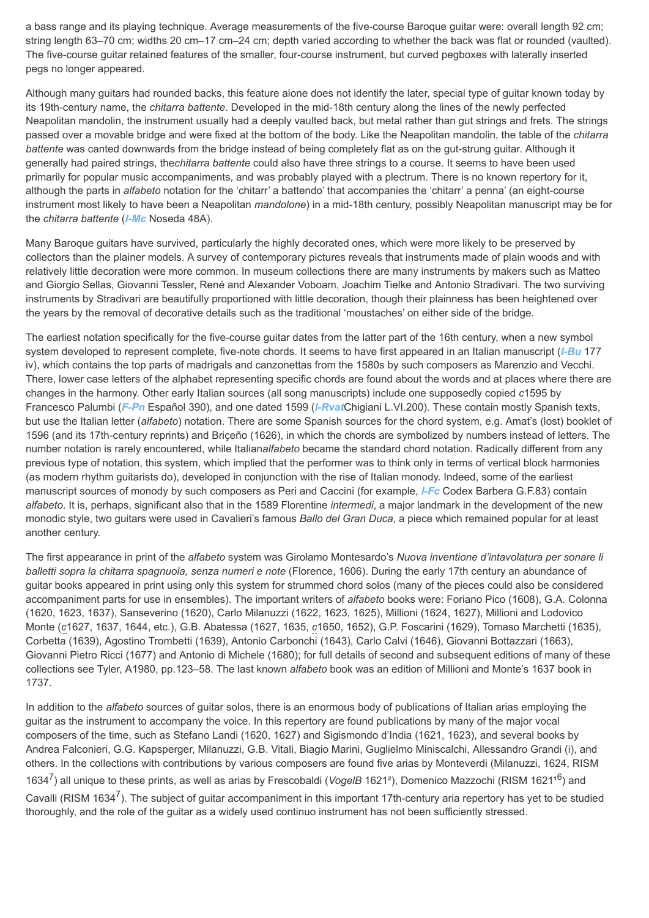a bass range and its playing technique. Average measurements of the five-course Baroque guitar were: overall length 92 cm; string length 63–70 cm; widths 20 cm–17 cm–24 cm; depth varied according to whether the back was flat or rounded (vaulted). The five-course guitar retained features of the smaller, four-course instrument, but curved pegboxes with laterally inserted pegs no longer appeared.

Although many guitars had rounded backs, this feature alone does not identify the later, special type of guitar known today by its 19th-century name, the *chitarra battente*. Developed in the mid-18th century along the lines of the newly perfected Neapolitan mandolin, the instrument usually had a deeply vaulted back, but metal rather than gut strings and frets. The strings passed over a movable bridge and were fixed at the bottom of the body. Like the Neapolitan mandolin, the table of the *chitarra battente* was canted downwards from the bridge instead of being completely flat as on the gut-strung guitar. Although it generally had paired strings, the*chitarra battente* could also have three strings to a course. It seems to have been used primarily for popular music accompaniments, and was probably played with a plectrum. There is no known repertory for it, although the parts in *alfabeto* notation for the 'chitarr' a battendo' that accompanies the 'chitarr' a penna' (an eight-course instrument most likely to have been a Neapolitan *mandolone*) in a mid-18th century, possibly Neapolitan manuscript may be for the *chitarra battente* (*[I-Mc](http://www.oxfordmusiconline.com/subscriber/article_citations/grove/music/43006#abbr-explained)* Noseda 48A).

Many Baroque guitars have survived, particularly the highly decorated ones, which were more likely to be preserved by collectors than the plainer models. A survey of contemporary pictures reveals that instruments made of plain woods and with relatively little decoration were more common. In museum collections there are many instruments by makers such as Matteo and Giorgio Sellas, Giovanni Tessler, René and Alexander Voboam, Joachim Tielke and Antonio Stradivari. The two surviving instruments by Stradivari are beautifully proportioned with little decoration, though their plainness has been heightened over the years by the removal of decorative details such as the traditional 'moustaches' on either side of the bridge.

The earliest notation specifically for the five-course guitar dates from the latter part of the 16th century, when a new symbol system developed to represent complete, five-note chords. It seems to have first appeared in an Italian manuscript (*[I-Bu](http://www.oxfordmusiconline.com/subscriber/article_citations/grove/music/43006#abbr-explained)* 177 iv), which contains the top parts of madrigals and canzonettas from the 1580s by such composers as Marenzio and Vecchi. There, lower case letters of the alphabet representing specific chords are found about the words and at places where there are changes in the harmony. Other early Italian sources (all song manuscripts) include one supposedly copied *c*1595 by Francesco Palumbi (*[F-Pn](http://www.oxfordmusiconline.com/subscriber/article_citations/grove/music/43006#abbr-explained)* Español 390), and one dated 1599 (*[I-Rvat](http://www.oxfordmusiconline.com/subscriber/article_citations/grove/music/43006#abbr-explained)*Chigiani L.VI.200). These contain mostly Spanish texts, but use the Italian letter (*alfabeto*) notation. There are some Spanish sources for the chord system, e.g. Amat's (lost) booklet of 1596 (and its 17th-century reprints) and Briçeño (1626), in which the chords are symbolized by numbers instead of letters. The number notation is rarely encountered, while Italian*alfabeto* became the standard chord notation. Radically different from any previous type of notation, this system, which implied that the performer was to think only in terms of vertical block harmonies (as modern rhythm guitarists do), developed in conjunction with the rise of Italian monody. Indeed, some of the earliest manuscript sources of monody by such composers as Peri and Caccini (for example, *[I-Fc](http://www.oxfordmusiconline.com/subscriber/article_citations/grove/music/43006#abbr-explained)* Codex Barbera G.F.83) contain *alfabeto*. It is, perhaps, significant also that in the 1589 Florentine *intermedi*, a major landmark in the development of the new monodic style, two guitars were used in Cavalieri's famous *Ballo del Gran Duca*, a piece which remained popular for at least another century.

The first appearance in print of the *alfabeto* system was Girolamo Montesardo's *Nuova inventione d'intavolatura per sonare li balletti sopra la chitarra spagnuola, senza numeri e note* (Florence, 1606). During the early 17th century an abundance of guitar books appeared in print using only this system for strummed chord solos (many of the pieces could also be considered accompaniment parts for use in ensembles). The important writers of *alfabeto* books were: Foriano Pico (1608), G.A. Colonna (1620, 1623, 1637), Sanseverino (1620), Carlo Milanuzzi (1622, 1623, 1625), Millioni (1624, 1627), Millioni and Lodovico Monte (*c*1627, 1637, 1644, etc.), G.B. Abatessa (1627, 1635, *c*1650, 1652), G.P. Foscarini (1629), Tomaso Marchetti (1635), Corbetta (1639), Agostino Trombetti (1639), Antonio Carbonchi (1643), Carlo Calvi (1646), Giovanni Bottazzari (1663), Giovanni Pietro Ricci (1677) and Antonio di Michele (1680); for full details of second and subsequent editions of many of these collections see Tyler, A1980, pp.123–58. The last known *alfabeto* book was an edition of Millioni and Monte's 1637 book in 1737.

In addition to the *alfabeto* sources of guitar solos, there is an enormous body of publications of Italian arias employing the guitar as the instrument to accompany the voice. In this repertory are found publications by many of the major vocal composers of the time, such as Stefano Landi (1620, 1627) and Sigismondo d'India (1621, 1623), and several books by Andrea Falconieri, G.G. Kapsperger, Milanuzzi, G.B. Vitali, Biagio Marini, Guglielmo Miniscalchi, Allessandro Grandi (i), and others. In the collections with contributions by various composers are found five arias by Monteverdi (Milanuzzi, 1624, RISM 1634<sup>7</sup>) all unique to these prints, as well as arias by Frescobaldi (VogelB 1621<sup>2</sup>), Domenico Mazzochi (RISM 1621<sup>16</sup>) and Cavalli (RISM 1634<sup>7</sup>). The subject of quitar accompaniment in this important 17th-century aria repertory has yet to be studied thoroughly, and the role of the guitar as a widely used continuo instrument has not been sufficiently stressed.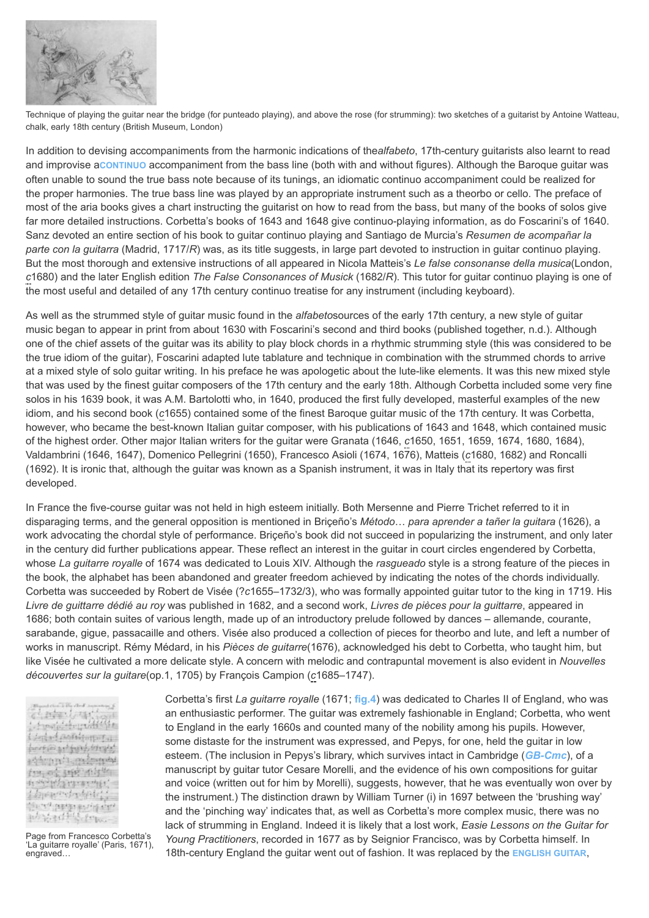

Technique of playing the guitar near the bridge (for punteado playing), and above the rose (for strumming): two sketches of a guitarist by Antoine Watteau, chalk, early 18th century (British Museum, London)

In addition to devising accompaniments from the harmonic indications of the*alfabeto*, 17th-century guitarists also learnt to read and improvise a**[CONTINUO](http://www.oxfordmusiconline.com/subscriber/article/grove/music/06353)** accompaniment from the bass line (both with and without figures). Although the Baroque guitar was often unable to sound the true bass note because of its tunings, an idiomatic continuo accompaniment could be realized for the proper harmonies. The true bass line was played by an appropriate instrument such as a theorbo or cello. The preface of most of the aria books gives a chart instructing the guitarist on how to read from the bass, but many of the books of solos give far more detailed instructions. Corbetta's books of 1643 and 1648 give continuo-playing information, as do Foscarini's of 1640. Sanz devoted an entire section of his book to guitar continuo playing and Santiago de Murcia's *Resumen de acompañar la parte con la guitarra* (Madrid, 1717/*R*) was, as its title suggests, in large part devoted to instruction in guitar continuo playing. But the most thorough and extensive instructions of all appeared in Nicola Matteis's *Le false consonanse della musica*(London, *c*1680) and the later English edition *The False Consonances of Musick* (1682/*R*). This tutor for guitar continuo playing is one of the most useful and detailed of any 17th century continuo treatise for any instrument (including keyboard).

As well as the strummed style of guitar music found in the *alfabeto*sources of the early 17th century, a new style of guitar music began to appear in print from about 1630 with Foscarini's second and third books (published together, n.d.). Although one of the chief assets of the guitar was its ability to play block chords in a rhythmic strumming style (this was considered to be the true idiom of the guitar), Foscarini adapted lute tablature and technique in combination with the strummed chords to arrive at a mixed style of solo guitar writing. In his preface he was apologetic about the lute-like elements. It was this new mixed style that was used by the finest guitar composers of the 17th century and the early 18th. Although Corbetta included some very fine solos in his 1639 book, it was A.M. Bartolotti who, in 1640, produced the first fully developed, masterful examples of the new idiom, and his second book (*c*1655) contained some of the finest Baroque guitar music of the 17th century. It was Corbetta, however, who became the best-known Italian guitar composer, with his publications of 1643 and 1648, which contained music of the highest order. Other major Italian writers for the guitar were Granata (1646, *c*1650, 1651, 1659, 1674, 1680, 1684), Valdambrini (1646, 1647), Domenico Pellegrini (1650), Francesco Asioli (1674, 1676), Matteis (*c*1680, 1682) and Roncalli (1692). It is ironic that, although the guitar was known as a Spanish instrument, it was in Italy that its repertory was first developed.

In France the five-course guitar was not held in high esteem initially. Both Mersenne and Pierre Trichet referred to it in disparaging terms, and the general opposition is mentioned in Briçeño's *Método*… *para aprender a tañer la guitara* (1626), a work advocating the chordal style of performance. Briçeño's book did not succeed in popularizing the instrument, and only later in the century did further publications appear. These reflect an interest in the guitar in court circles engendered by Corbetta, whose *La guitarre royalle* of 1674 was dedicated to Louis XIV. Although the *rasgueado* style is a strong feature of the pieces in the book, the alphabet has been abandoned and greater freedom achieved by indicating the notes of the chords individually. Corbetta was succeeded by Robert de Visée (?*c*1655–1732/3), who was formally appointed guitar tutor to the king in 1719. His *Livre de guittarre dédié au roy* was published in 1682, and a second work, *Livres de pièces pour la guittarre*, appeared in 1686; both contain suites of various length, made up of an introductory prelude followed by dances – allemande, courante, sarabande, gigue, passacaille and others. Visée also produced a collection of pieces for theorbo and lute, and left a number of works in manuscript. Rémy Médard, in his *Pièces de guitarre*(1676), acknowledged his debt to Corbetta, who taught him, but like Visée he cultivated a more delicate style. A concern with melodic and contrapuntal movement is also evident in *Nouvelles découvertes sur la guitare*(op.1, 1705) by François Campion (*c*1685–1747).

<span id="page-6-0"></span>计时中小量计 Annal Colores of the Contact Boliving Col bort@arthmythmyt a the company of the company 199, 04:3198 4054 having processing Lineen beleit there program from physofficion.

[Page from Francesco Corbetta's](http://www.oxfordmusiconline.com/subscriber/article/img/grove/music/F002463) 'La guitarre royalle' (Paris, 1671), engraved…

Corbetta's first *La guitarre royalle* (1671; **[fig.4](#page-6-0)**) was dedicated to Charles II of England, who was an enthusiastic performer. The guitar was extremely fashionable in England; Corbetta, who went to England in the early 1660s and counted many of the nobility among his pupils. However, some distaste for the instrument was expressed, and Pepys, for one, held the guitar in low esteem. (The inclusion in Pepys's library, which survives intact in Cambridge (*[GB-Cmc](http://www.oxfordmusiconline.com/subscriber/article_citations/grove/music/43006#abbr-explained)*), of a manuscript by guitar tutor Cesare Morelli, and the evidence of his own compositions for guitar and voice (written out for him by Morelli), suggests, however, that he was eventually won over by the instrument.) The distinction drawn by William Turner (i) in 1697 between the 'brushing way' and the 'pinching way' indicates that, as well as Corbetta's more complex music, there was no lack of strumming in England. Indeed it is likely that a lost work, *Easie Lessons on the Guitar for Young Practitioners*, recorded in 1677 as by Seignior Francisco, was by Corbetta himself. In 18th-century England the guitar went out of fashion. It was replaced by the **[ENGLISH GUITAR](http://www.oxfordmusiconline.com/subscriber/article/grove/music/08823)**,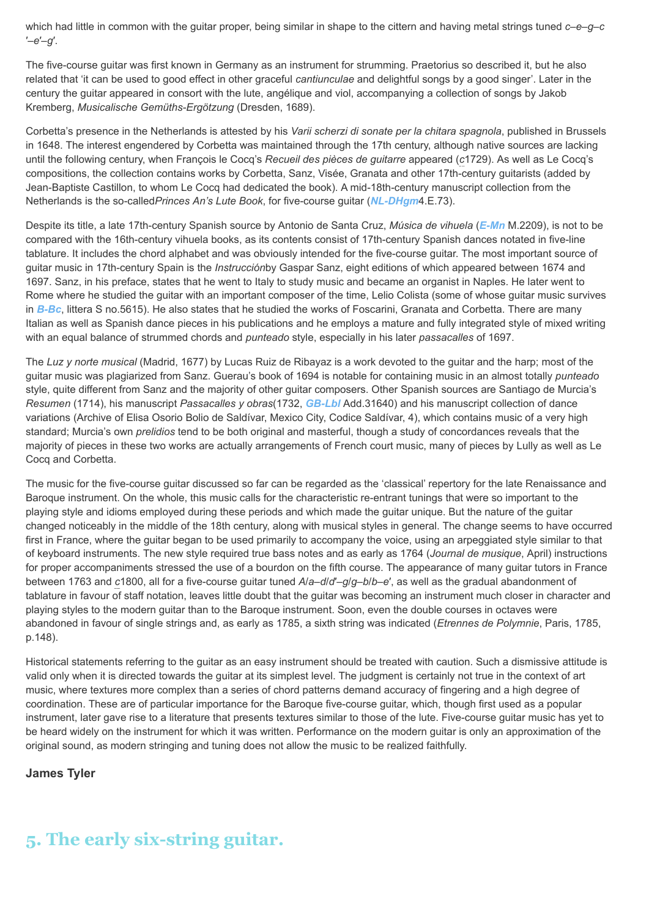which had little in common with the guitar proper, being similar in shape to the cittern and having metal strings tuned *c*–*e*–*g*–*c* ′–*e*′–*g*′.

The five-course guitar was first known in Germany as an instrument for strumming. Praetorius so described it, but he also related that 'it can be used to good effect in other graceful *cantiunculae* and delightful songs by a good singer'. Later in the century the guitar appeared in consort with the lute, angélique and viol, accompanying a collection of songs by Jakob Kremberg, *Musicalische Gemüths-Ergötzung* (Dresden, 1689).

Corbetta's presence in the Netherlands is attested by his *Varii scherzi di sonate per la chitara spagnola*, published in Brussels in 1648. The interest engendered by Corbetta was maintained through the 17th century, although native sources are lacking until the following century, when François le Cocq's *Recueil des pièces de guitarre* appeared (*c*1729). As well as Le Cocq's compositions, the collection contains works by Corbetta, Sanz, Visée, Granata and other 17th-century guitarists (added by Jean-Baptiste Castillon, to whom Le Cocq had dedicated the book). A mid-18th-century manuscript collection from the Netherlands is the so-called*Princes An's Lute Book*, for five-course guitar (*[NL-DHgm](http://www.oxfordmusiconline.com/subscriber/article_citations/grove/music/43006#abbr-explained)*4.E.73).

Despite its title, a late 17th-century Spanish source by Antonio de Santa Cruz, *Música de vihuela* (*[E-Mn](http://www.oxfordmusiconline.com/subscriber/article_citations/grove/music/43006#abbr-explained)* M.2209), is not to be compared with the 16th-century vihuela books, as its contents consist of 17th-century Spanish dances notated in five-line tablature. It includes the chord alphabet and was obviously intended for the five-course guitar. The most important source of guitar music in 17th-century Spain is the *Instrucción*by Gaspar Sanz, eight editions of which appeared between 1674 and 1697. Sanz, in his preface, states that he went to Italy to study music and became an organist in Naples. He later went to Rome where he studied the guitar with an important composer of the time, Lelio Colista (some of whose guitar music survives in *[B-Bc](http://www.oxfordmusiconline.com/subscriber/article_citations/grove/music/43006#abbr-explained)*, littera S no.5615). He also states that he studied the works of Foscarini, Granata and Corbetta. There are many Italian as well as Spanish dance pieces in his publications and he employs a mature and fully integrated style of mixed writing with an equal balance of strummed chords and *punteado* style, especially in his later *passacalles* of 1697.

The *Luz y norte musical* (Madrid, 1677) by Lucas Ruiz de Ribayaz is a work devoted to the guitar and the harp; most of the guitar music was plagiarized from Sanz. Guerau's book of 1694 is notable for containing music in an almost totally *punteado* style, quite different from Sanz and the majority of other guitar composers. Other Spanish sources are Santiago de Murcia's *Resumen* (1714), his manuscript *Passacalles y obras*(1732, *[GB-Lbl](http://www.oxfordmusiconline.com/subscriber/article_citations/grove/music/43006#abbr-explained)* Add.31640) and his manuscript collection of dance variations (Archive of Elisa Osorio Bolio de Saldívar, Mexico City, Codice Saldívar, 4), which contains music of a very high standard; Murcia's own *prelidios* tend to be both original and masterful, though a study of concordances reveals that the majority of pieces in these two works are actually arrangements of French court music, many of pieces by Lully as well as Le Cocq and Corbetta.

The music for the five-course guitar discussed so far can be regarded as the 'classical' repertory for the late Renaissance and Baroque instrument. On the whole, this music calls for the characteristic re-entrant tunings that were so important to the playing style and idioms employed during these periods and which made the guitar unique. But the nature of the guitar changed noticeably in the middle of the 18th century, along with musical styles in general. The change seems to have occurred first in France, where the guitar began to be used primarily to accompany the voice, using an arpeggiated style similar to that of keyboard instruments. The new style required true bass notes and as early as 1764 (*Journal de musique*, April) instructions for proper accompaniments stressed the use of a bourdon on the fifth course. The appearance of many guitar tutors in France between 1763 and *c*1800, all for a five-course guitar tuned *A*/*a*–*d*/*d*′–*g*/*g*–*b*/*b*–*e*′, as well as the gradual abandonment of tablature in favour of staff notation, leaves little doubt that the guitar was becoming an instrument much closer in character and playing styles to the modern guitar than to the Baroque instrument. Soon, even the double courses in octaves were abandoned in favour of single strings and, as early as 1785, a sixth string was indicated (*Etrennes de Polymnie*, Paris, 1785, p.148).

Historical statements referring to the guitar as an easy instrument should be treated with caution. Such a dismissive attitude is valid only when it is directed towards the guitar at its simplest level. The judgment is certainly not true in the context of art music, where textures more complex than a series of chord patterns demand accuracy of fingering and a high degree of coordination. These are of particular importance for the Baroque five-course guitar, which, though first used as a popular instrument, later gave rise to a literature that presents textures similar to those of the lute. Five-course guitar music has yet to be heard widely on the instrument for which it was written. Performance on the modern guitar is only an approximation of the original sound, as modern stringing and tuning does not allow the music to be realized faithfully.

**James Tyler**

# **5. The early six-string guitar.**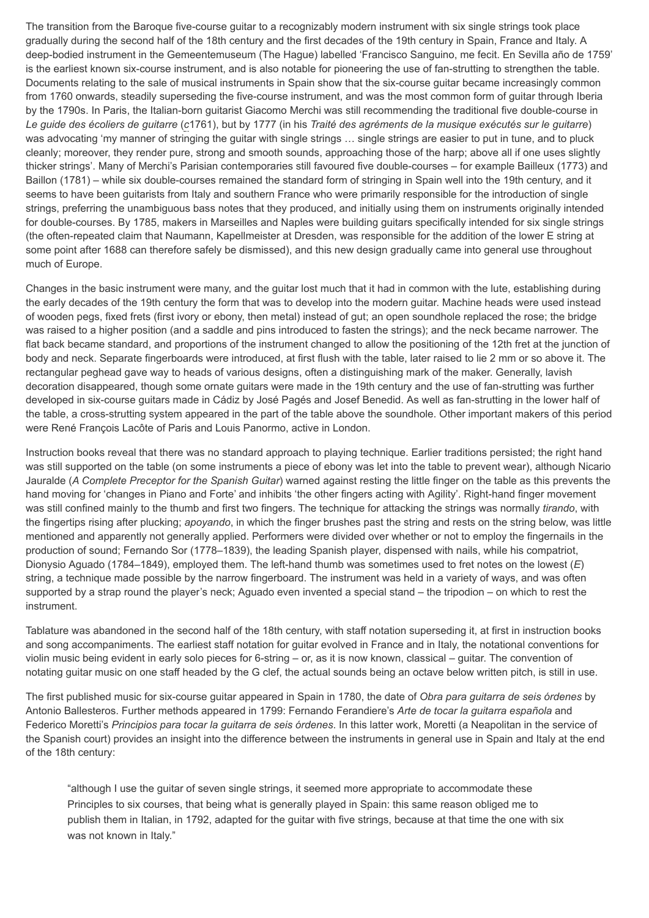The transition from the Baroque five-course guitar to a recognizably modern instrument with six single strings took place gradually during the second half of the 18th century and the first decades of the 19th century in Spain, France and Italy. A deep-bodied instrument in the Gemeentemuseum (The Hague) labelled 'Francisco Sanguino, me fecit. En Sevilla año de 1759' is the earliest known six-course instrument, and is also notable for pioneering the use of fan-strutting to strengthen the table. Documents relating to the sale of musical instruments in Spain show that the six-course guitar became increasingly common from 1760 onwards, steadily superseding the five-course instrument, and was the most common form of guitar through Iberia by the 1790s. In Paris, the Italian-born guitarist Giacomo Merchi was still recommending the traditional five double-course in *Le guide des écoliers de guitarre* (*c*1761), but by 1777 (in his *Traité des agréments de la musique exécutés sur le guitarre*) was advocating 'my manner of stringing the guitar with single strings … single strings are easier to put in tune, and to pluck cleanly; moreover, they render pure, strong and smooth sounds, approaching those of the harp; above all if one uses slightly thicker strings'. Many of Merchi's Parisian contemporaries still favoured five double-courses – for example Bailleux (1773) and Baillon (1781) – while six double-courses remained the standard form of stringing in Spain well into the 19th century, and it seems to have been guitarists from Italy and southern France who were primarily responsible for the introduction of single strings, preferring the unambiguous bass notes that they produced, and initially using them on instruments originally intended for double-courses. By 1785, makers in Marseilles and Naples were building guitars specifically intended for six single strings (the often-repeated claim that Naumann, Kapellmeister at Dresden, was responsible for the addition of the lower E string at some point after 1688 can therefore safely be dismissed), and this new design gradually came into general use throughout much of Europe.

Changes in the basic instrument were many, and the guitar lost much that it had in common with the lute, establishing during the early decades of the 19th century the form that was to develop into the modern guitar. Machine heads were used instead of wooden pegs, fixed frets (first ivory or ebony, then metal) instead of gut; an open soundhole replaced the rose; the bridge was raised to a higher position (and a saddle and pins introduced to fasten the strings); and the neck became narrower. The flat back became standard, and proportions of the instrument changed to allow the positioning of the 12th fret at the junction of body and neck. Separate fingerboards were introduced, at first flush with the table, later raised to lie 2 mm or so above it. The rectangular peghead gave way to heads of various designs, often a distinguishing mark of the maker. Generally, lavish decoration disappeared, though some ornate guitars were made in the 19th century and the use of fan-strutting was further developed in six-course guitars made in Cádiz by José Pagés and Josef Benedid. As well as fan-strutting in the lower half of the table, a cross-strutting system appeared in the part of the table above the soundhole. Other important makers of this period were René François Lacôte of Paris and Louis Panormo, active in London.

Instruction books reveal that there was no standard approach to playing technique. Earlier traditions persisted; the right hand was still supported on the table (on some instruments a piece of ebony was let into the table to prevent wear), although Nicario Jauralde (*A Complete Preceptor for the Spanish Guitar*) warned against resting the little finger on the table as this prevents the hand moving for 'changes in Piano and Forte' and inhibits 'the other fingers acting with Agility'. Right-hand finger movement was still confined mainly to the thumb and first two fingers. The technique for attacking the strings was normally *tirando*, with the fingertips rising after plucking; *apoyando*, in which the finger brushes past the string and rests on the string below, was little mentioned and apparently not generally applied. Performers were divided over whether or not to employ the fingernails in the production of sound; Fernando Sor (1778–1839), the leading Spanish player, dispensed with nails, while his compatriot, Dionysio Aguado (1784–1849), employed them. The left-hand thumb was sometimes used to fret notes on the lowest (*E*) string, a technique made possible by the narrow fingerboard. The instrument was held in a variety of ways, and was often supported by a strap round the player's neck; Aguado even invented a special stand – the tripodion – on which to rest the instrument.

Tablature was abandoned in the second half of the 18th century, with staff notation superseding it, at first in instruction books and song accompaniments. The earliest staff notation for guitar evolved in France and in Italy, the notational conventions for violin music being evident in early solo pieces for 6-string – or, as it is now known, classical – guitar. The convention of notating guitar music on one staff headed by the G clef, the actual sounds being an octave below written pitch, is still in use.

The first published music for six-course guitar appeared in Spain in 1780, the date of *Obra para guitarra de seis órdenes* by Antonio Ballesteros. Further methods appeared in 1799: Fernando Ferandiere's *Arte de tocar la guitarra española* and Federico Moretti's *Principios para tocar la guitarra de seis órdenes*. In this latter work, Moretti (a Neapolitan in the service of the Spanish court) provides an insight into the difference between the instruments in general use in Spain and Italy at the end of the 18th century:

"although I use the guitar of seven single strings, it seemed more appropriate to accommodate these Principles to six courses, that being what is generally played in Spain: this same reason obliged me to publish them in Italian, in 1792, adapted for the guitar with five strings, because at that time the one with six was not known in Italy."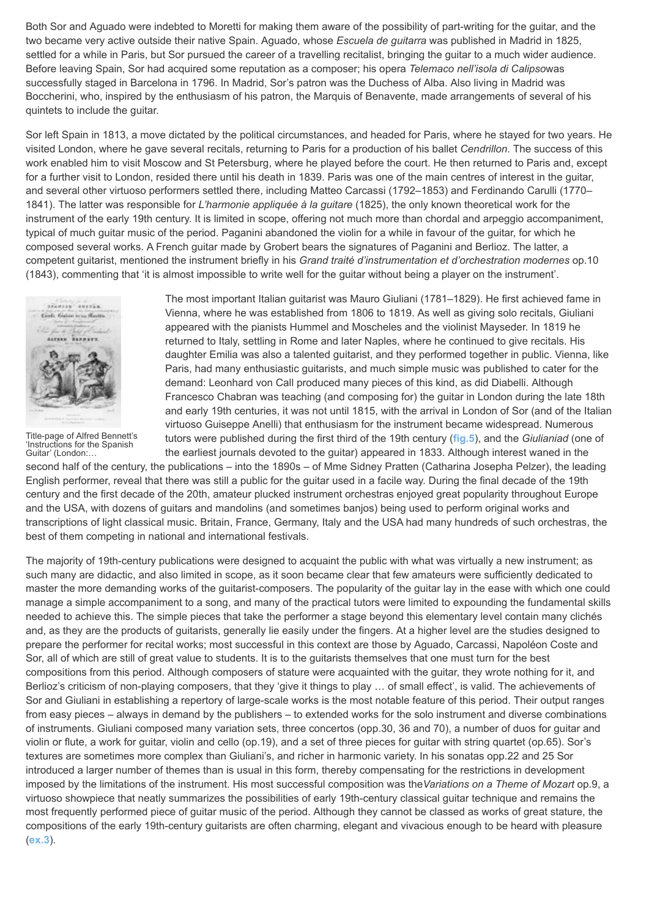Both Sor and Aguado were indebted to Moretti for making them aware of the possibility of part-writing for the guitar, and the two became very active outside their native Spain. Aguado, whose *Escuela de guitarra* was published in Madrid in 1825, settled for a while in Paris, but Sor pursued the career of a travelling recitalist, bringing the guitar to a much wider audience. Before leaving Spain, Sor had acquired some reputation as a composer; his opera *Telemaco nell'isola di Calipso*was successfully staged in Barcelona in 1796. In Madrid, Sor's patron was the Duchess of Alba. Also living in Madrid was Boccherini, who, inspired by the enthusiasm of his patron, the Marquis of Benavente, made arrangements of several of his quintets to include the guitar.

Sor left Spain in 1813, a move dictated by the political circumstances, and headed for Paris, where he stayed for two years. He visited London, where he gave several recitals, returning to Paris for a production of his ballet *Cendrillon*. The success of this work enabled him to visit Moscow and St Petersburg, where he played before the court. He then returned to Paris and, except for a further visit to London, resided there until his death in 1839. Paris was one of the main centres of interest in the guitar, and several other virtuoso performers settled there, including Matteo Carcassi (1792–1853) and Ferdinando Carulli (1770– 1841). The latter was responsible for *L'harmonie appliquée à la guitare* (1825), the only known theoretical work for the instrument of the early 19th century. It is limited in scope, offering not much more than chordal and arpeggio accompaniment, typical of much guitar music of the period. Paganini abandoned the violin for a while in favour of the guitar, for which he composed several works. A French guitar made by Grobert bears the signatures of Paganini and Berlioz. The latter, a competent guitarist, mentioned the instrument briefly in his *Grand traité d'instrumentation et d'orchestration modernes* op.10 (1843), commenting that 'it is almost impossible to write well for the guitar without being a player on the instrument'.

<span id="page-9-0"></span>

[Title-page of Alfred Bennett's](http://www.oxfordmusiconline.com/subscriber/article/img/grove/music/F002466) 'Instructions for the Spanish Guitar' (London:…

The most important Italian guitarist was Mauro Giuliani (1781–1829). He first achieved fame in Vienna, where he was established from 1806 to 1819. As well as giving solo recitals, Giuliani appeared with the pianists Hummel and Moscheles and the violinist Mayseder. In 1819 he returned to Italy, settling in Rome and later Naples, where he continued to give recitals. His daughter Emilia was also a talented guitarist, and they performed together in public. Vienna, like Paris, had many enthusiastic guitarists, and much simple music was published to cater for the demand: Leonhard von Call produced many pieces of this kind, as did Diabelli. Although Francesco Chabran was teaching (and composing for) the guitar in London during the late 18th and early 19th centuries, it was not until 1815, with the arrival in London of Sor (and of the Italian virtuoso Guiseppe Anelli) that enthusiasm for the instrument became widespread. Numerous tutors were published during the first third of the 19th century (**[fig.5](#page-9-0)**), and the *Giulianiad* (one of the earliest journals devoted to the guitar) appeared in 1833. Although interest waned in the

second half of the century, the publications – into the 1890s – of Mme Sidney Pratten (Catharina Josepha Pelzer), the leading English performer, reveal that there was still a public for the guitar used in a facile way. During the final decade of the 19th century and the first decade of the 20th, amateur plucked instrument orchestras enjoyed great popularity throughout Europe and the USA, with dozens of guitars and mandolins (and sometimes banjos) being used to perform original works and transcriptions of light classical music. Britain, France, Germany, Italy and the USA had many hundreds of such orchestras, the best of them competing in national and international festivals.

The majority of 19th-century publications were designed to acquaint the public with what was virtually a new instrument; as such many are didactic, and also limited in scope, as it soon became clear that few amateurs were sufficiently dedicated to master the more demanding works of the guitarist-composers. The popularity of the guitar lay in the ease with which one could manage a simple accompaniment to a song, and many of the practical tutors were limited to expounding the fundamental skills needed to achieve this. The simple pieces that take the performer a stage beyond this elementary level contain many clichés and, as they are the products of guitarists, generally lie easily under the fingers. At a higher level are the studies designed to prepare the performer for recital works; most successful in this context are those by Aguado, Carcassi, Napoléon Coste and Sor, all of which are still of great value to students. It is to the guitarists themselves that one must turn for the best compositions from this period. Although composers of stature were acquainted with the guitar, they wrote nothing for it, and Berlioz's criticism of non-playing composers, that they 'give it things to play … of small effect', is valid. The achievements of Sor and Giuliani in establishing a repertory of large-scale works is the most notable feature of this period. Their output ranges from easy pieces – always in demand by the publishers – to extended works for the solo instrument and diverse combinations of instruments. Giuliani composed many variation sets, three concertos (opp.30, 36 and 70), a number of duos for guitar and violin or flute, a work for guitar, violin and cello (op.19), and a set of three pieces for guitar with string quartet (op.65). Sor's textures are sometimes more complex than Giuliani's, and richer in harmonic variety. In his sonatas opp.22 and 25 Sor introduced a larger number of themes than is usual in this form, thereby compensating for the restrictions in development imposed by the limitations of the instrument. His most successful composition was the*Variations on a Theme of Mozart* op.9, a virtuoso showpiece that neatly summarizes the possibilities of early 19th-century classical guitar technique and remains the most frequently performed piece of guitar music of the period. Although they cannot be classed as works of great stature, the compositions of the early 19th-century guitarists are often charming, elegant and vivacious enough to be heard with pleasure (**[ex.3](#page-10-0)**).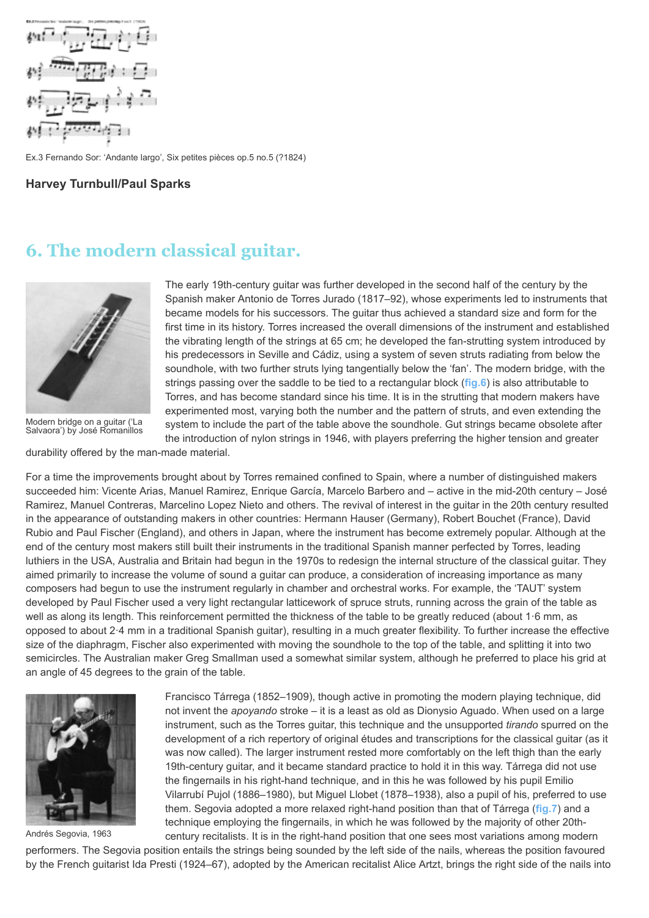<span id="page-10-0"></span>

Ex.3 Fernando Sor: 'Andante largo', Six petites pièces op.5 no.5 (?1824)

**Harvey Turnbull/Paul Sparks**

### **6. The modern classical guitar.**

<span id="page-10-1"></span>

[Modern bridge on a guitar \('La](http://www.oxfordmusiconline.com/subscriber/article/img/grove/music/F002468) Salvaora') by José Romanillos The early 19th-century guitar was further developed in the second half of the century by the Spanish maker Antonio de Torres Jurado (1817–92), whose experiments led to instruments that became models for his successors. The guitar thus achieved a standard size and form for the first time in its history. Torres increased the overall dimensions of the instrument and established the vibrating length of the strings at 65 cm; he developed the fan-strutting system introduced by his predecessors in Seville and Cádiz, using a system of seven struts radiating from below the soundhole, with two further struts lying tangentially below the 'fan'. The modern bridge, with the strings passing over the saddle to be tied to a rectangular block (**[fig.6](#page-10-1)**) is also attributable to Torres, and has become standard since his time. It is in the strutting that modern makers have experimented most, varying both the number and the pattern of struts, and even extending the system to include the part of the table above the soundhole. Gut strings became obsolete after the introduction of nylon strings in 1946, with players preferring the higher tension and greater

durability offered by the man-made material.

For a time the improvements brought about by Torres remained confined to Spain, where a number of distinguished makers succeeded him: Vicente Arias, Manuel Ramirez, Enrique García, Marcelo Barbero and – active in the mid-20th century – José Ramirez, Manuel Contreras, Marcelino Lopez Nieto and others. The revival of interest in the guitar in the 20th century resulted in the appearance of outstanding makers in other countries: Hermann Hauser (Germany), Robert Bouchet (France), David Rubio and Paul Fischer (England), and others in Japan, where the instrument has become extremely popular. Although at the end of the century most makers still built their instruments in the traditional Spanish manner perfected by Torres, leading luthiers in the USA, Australia and Britain had begun in the 1970s to redesign the internal structure of the classical guitar. They aimed primarily to increase the volume of sound a guitar can produce, a consideration of increasing importance as many composers had begun to use the instrument regularly in chamber and orchestral works. For example, the 'TAUT' system developed by Paul Fischer used a very light rectangular latticework of spruce struts, running across the grain of the table as well as along its length. This reinforcement permitted the thickness of the table to be greatly reduced (about 1·6 mm, as opposed to about 2·4 mm in a traditional Spanish guitar), resulting in a much greater flexibility. To further increase the effective size of the diaphragm, Fischer also experimented with moving the soundhole to the top of the table, and splitting it into two semicircles. The Australian maker Greg Smallman used a somewhat similar system, although he preferred to place his grid at an angle of 45 degrees to the grain of the table.

<span id="page-10-2"></span>

[Andrés Segovia, 1963](http://www.oxfordmusiconline.com/subscriber/article/img/grove/music/F002469)

Francisco Tárrega (1852–1909), though active in promoting the modern playing technique, did not invent the *apoyando* stroke – it is a least as old as Dionysio Aguado. When used on a large instrument, such as the Torres guitar, this technique and the unsupported *tirando* spurred on the development of a rich repertory of original études and transcriptions for the classical guitar (as it was now called). The larger instrument rested more comfortably on the left thigh than the early 19th-century guitar, and it became standard practice to hold it in this way. Tárrega did not use the fingernails in his right-hand technique, and in this he was followed by his pupil Emilio Vilarrubí Pujol (1886–1980), but Miguel Llobet (1878–1938), also a pupil of his, preferred to use them. Segovia adopted a more relaxed right-hand position than that of Tárrega (**[fig.7](#page-10-2)**) and a technique employing the fingernails, in which he was followed by the majority of other 20thcentury recitalists. It is in the right-hand position that one sees most variations among modern

performers. The Segovia position entails the strings being sounded by the left side of the nails, whereas the position favoured by the French guitarist Ida Presti (1924–67), adopted by the American recitalist Alice Artzt, brings the right side of the nails into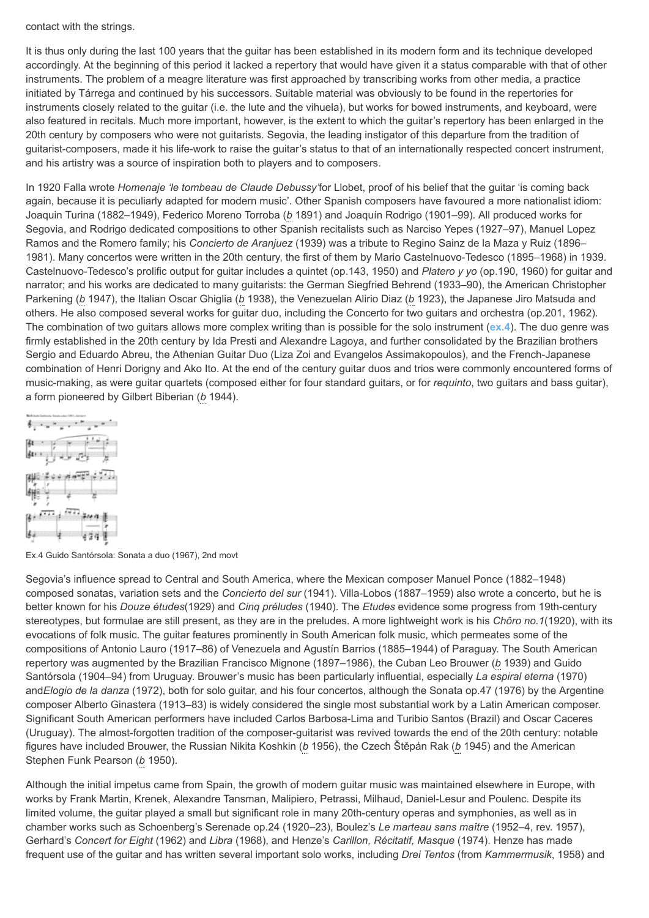contact with the strings.

It is thus only during the last 100 years that the guitar has been established in its modern form and its technique developed accordingly. At the beginning of this period it lacked a repertory that would have given it a status comparable with that of other instruments. The problem of a meagre literature was first approached by transcribing works from other media, a practice initiated by Tárrega and continued by his successors. Suitable material was obviously to be found in the repertories for instruments closely related to the guitar (i.e. the lute and the vihuela), but works for bowed instruments, and keyboard, were also featured in recitals. Much more important, however, is the extent to which the guitar's repertory has been enlarged in the 20th century by composers who were not guitarists. Segovia, the leading instigator of this departure from the tradition of guitarist-composers, made it his life-work to raise the guitar's status to that of an internationally respected concert instrument, and his artistry was a source of inspiration both to players and to composers.

In 1920 Falla wrote *Homenaje 'le tombeau de Claude Debussy'*for Llobet, proof of his belief that the guitar 'is coming back again, because it is peculiarly adapted for modern music'. Other Spanish composers have favoured a more nationalist idiom: Joaquin Turina (1882–1949), Federico Moreno Torroba (*b* 1891) and Joaquín Rodrigo (1901–99). All produced works for Segovia, and Rodrigo dedicated compositions to other Spanish recitalists such as Narciso Yepes (1927–97), Manuel Lopez Ramos and the Romero family; his *Concierto de Aranjuez* (1939) was a tribute to Regino Sainz de la Maza y Ruiz (1896– 1981). Many concertos were written in the 20th century, the first of them by Mario Castelnuovo-Tedesco (1895–1968) in 1939. Castelnuovo-Tedesco's prolific output for guitar includes a quintet (op.143, 1950) and *Platero y yo* (op.190, 1960) for guitar and narrator; and his works are dedicated to many guitarists: the German Siegfried Behrend (1933–90), the American Christopher Parkening (*b* 1947), the Italian Oscar Ghiglia (*b* 1938), the Venezuelan Alirio Diaz (*b* 1923), the Japanese Jiro Matsuda and others. He also composed several works for guitar duo, including the Concerto for two guitars and orchestra (op.201, 1962). The combination of two guitars allows more complex writing than is possible for the solo instrument (**[ex.4](#page-11-0)**). The duo genre was firmly established in the 20th century by Ida Presti and Alexandre Lagoya, and further consolidated by the Brazilian brothers Sergio and Eduardo Abreu, the Athenian Guitar Duo (Liza Zoi and Evangelos Assimakopoulos), and the French-Japanese combination of Henri Dorigny and Ako Ito. At the end of the century guitar duos and trios were commonly encountered forms of music-making, as were guitar quartets (composed either for four standard guitars, or for *requinto*, two guitars and bass guitar), a form pioneered by Gilbert Biberian (*b* 1944).

<span id="page-11-0"></span>

Ex.4 Guido Santórsola: Sonata a duo (1967), 2nd movt

Segovia's influence spread to Central and South America, where the Mexican composer Manuel Ponce (1882–1948) composed sonatas, variation sets and the *Concierto del sur* (1941). Villa-Lobos (1887–1959) also wrote a concerto, but he is better known for his *Douze études*(1929) and *Cinq préludes* (1940). The *Etudes* evidence some progress from 19th-century stereotypes, but formulae are still present, as they are in the preludes. A more lightweight work is his *Chôro no.1*(1920), with its evocations of folk music. The guitar features prominently in South American folk music, which permeates some of the compositions of Antonio Lauro (1917–86) of Venezuela and Agustín Barrios (1885–1944) of Paraguay. The South American repertory was augmented by the Brazilian Francisco Mignone (1897–1986), the Cuban Leo Brouwer (*b* 1939) and Guido Santórsola (1904–94) from Uruguay. Brouwer's music has been particularly influential, especially *La espiral eterna* (1970) and*Elogio de la danza* (1972), both for solo guitar, and his four concertos, although the Sonata op.47 (1976) by the Argentine composer Alberto Ginastera (1913–83) is widely considered the single most substantial work by a Latin American composer. Significant South American performers have included Carlos Barbosa-Lima and Turibio Santos (Brazil) and Oscar Caceres (Uruguay). The almost-forgotten tradition of the composer-guitarist was revived towards the end of the 20th century: notable figures have included Brouwer, the Russian Nikita Koshkin (*b* 1956), the Czech Štěpán Rak (*b* 1945) and the American Stephen Funk Pearson (*b* 1950).

Although the initial impetus came from Spain, the growth of modern guitar music was maintained elsewhere in Europe, with works by Frank Martin, Krenek, Alexandre Tansman, Malipiero, Petrassi, Milhaud, Daniel-Lesur and Poulenc. Despite its limited volume, the guitar played a small but significant role in many 20th-century operas and symphonies, as well as in chamber works such as Schoenberg's Serenade op.24 (1920–23), Boulez's *Le marteau sans maître* (1952–4, rev. 1957), Gerhard's *Concert for Eight* (1962) and *Libra* (1968), and Henze's *Carillon, Récitatif, Masque* (1974). Henze has made frequent use of the guitar and has written several important solo works, including *Drei Tentos* (from *Kammermusik*, 1958) and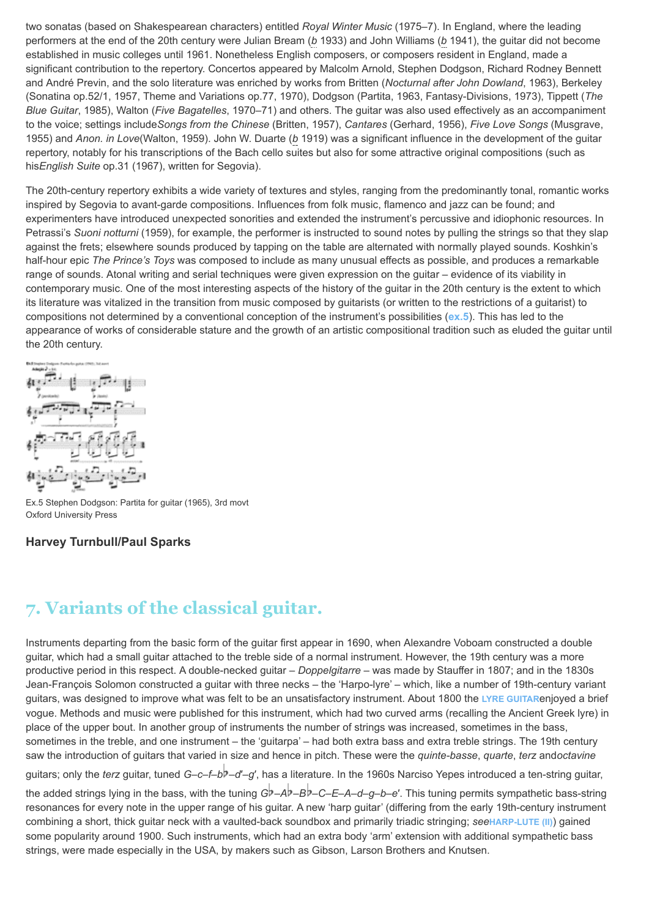two sonatas (based on Shakespearean characters) entitled *Royal Winter Music* (1975–7). In England, where the leading performers at the end of the 20th century were Julian Bream (*b* 1933) and John Williams (*b* 1941), the guitar did not become established in music colleges until 1961. Nonetheless English composers, or composers resident in England, made a significant contribution to the repertory. Concertos appeared by Malcolm Arnold, Stephen Dodgson, Richard Rodney Bennett and André Previn, and the solo literature was enriched by works from Britten (*Nocturnal after John Dowland*, 1963), Berkeley (Sonatina op.52/1, 1957, Theme and Variations op.77, 1970), Dodgson (Partita, 1963, Fantasy-Divisions, 1973), Tippett (*The Blue Guitar*, 1985), Walton (*Five Bagatelles*, 1970–71) and others. The guitar was also used effectively as an accompaniment to the voice; settings include*Songs from the Chinese* (Britten, 1957), *Cantares* (Gerhard, 1956), *Five Love Songs* (Musgrave, 1955) and *Anon. in Love*(Walton, 1959). John W. Duarte (*b* 1919) was a significant influence in the development of the guitar repertory, notably for his transcriptions of the Bach cello suites but also for some attractive original compositions (such as his*English Suite* op.31 (1967), written for Segovia).

The 20th-century repertory exhibits a wide variety of textures and styles, ranging from the predominantly tonal, romantic works inspired by Segovia to avant-garde compositions. Influences from folk music, flamenco and jazz can be found; and experimenters have introduced unexpected sonorities and extended the instrument's percussive and idiophonic resources. In Petrassi's *Suoni notturni* (1959), for example, the performer is instructed to sound notes by pulling the strings so that they slap against the frets; elsewhere sounds produced by tapping on the table are alternated with normally played sounds. Koshkin's half-hour epic *The Prince's Toys* was composed to include as many unusual effects as possible, and produces a remarkable range of sounds. Atonal writing and serial techniques were given expression on the guitar – evidence of its viability in contemporary music. One of the most interesting aspects of the history of the guitar in the 20th century is the extent to which its literature was vitalized in the transition from music composed by guitarists (or written to the restrictions of a guitarist) to compositions not determined by a conventional conception of the instrument's possibilities (**[ex.5](#page-12-0)**). This has led to the appearance of works of considerable stature and the growth of an artistic compositional tradition such as eluded the guitar until the 20th century.

<span id="page-12-0"></span>

Ex.5 Stephen Dodgson: Partita for guitar (1965), 3rd movt Oxford University Press

#### **Harvey Turnbull/Paul Sparks**

# **7. Variants of the classical guitar.**

Instruments departing from the basic form of the guitar first appear in 1690, when Alexandre Voboam constructed a double guitar, which had a small guitar attached to the treble side of a normal instrument. However, the 19th century was a more productive period in this respect. A double-necked guitar – *Doppelgitarre* – was made by Stauffer in 1807; and in the 1830s Jean-François Solomon constructed a guitar with three necks – the 'Harpo-lyre' – which, like a number of 19th-century variant guitars, was designed to improve what was felt to be an unsatisfactory instrument. About 1800 the **[LYRE GUITAR](http://www.oxfordmusiconline.com/subscriber/article/grove/music/17265)**enjoyed a brief vogue. Methods and music were published for this instrument, which had two curved arms (recalling the Ancient Greek lyre) in place of the upper bout. In another group of instruments the number of strings was increased, sometimes in the bass, sometimes in the treble, and one instrument – the 'guitarpa' – had both extra bass and extra treble strings. The 19th century saw the introduction of guitars that varied in size and hence in pitch. These were the *quinte-basse*, *quarte*, *terz* and*octavine*

guitars; only the *terz* guitar, tuned *G*–*c*–*f*–*b* –*d*′–*g*′, has a literature. In the 1960s Narciso Yepes introduced a ten-string guitar,

the added strings lying in the bass, with the tuning *G* –*A* –*B* –*C*–*E*–*A*–*d*–*g*–*b*–*e*′. This tuning permits sympathetic bass-string resonances for every note in the upper range of his guitar. A new 'harp guitar' (differing from the early 19th-century instrument combining a short, thick guitar neck with a vaulted-back soundbox and primarily triadic stringing; *see***[HARP-LUTE \(II\)](http://www.oxfordmusiconline.com/subscriber/article/grove/music/12416)**) gained some popularity around 1900. Such instruments, which had an extra body 'arm' extension with additional sympathetic bass strings, were made especially in the USA, by makers such as Gibson, Larson Brothers and Knutsen.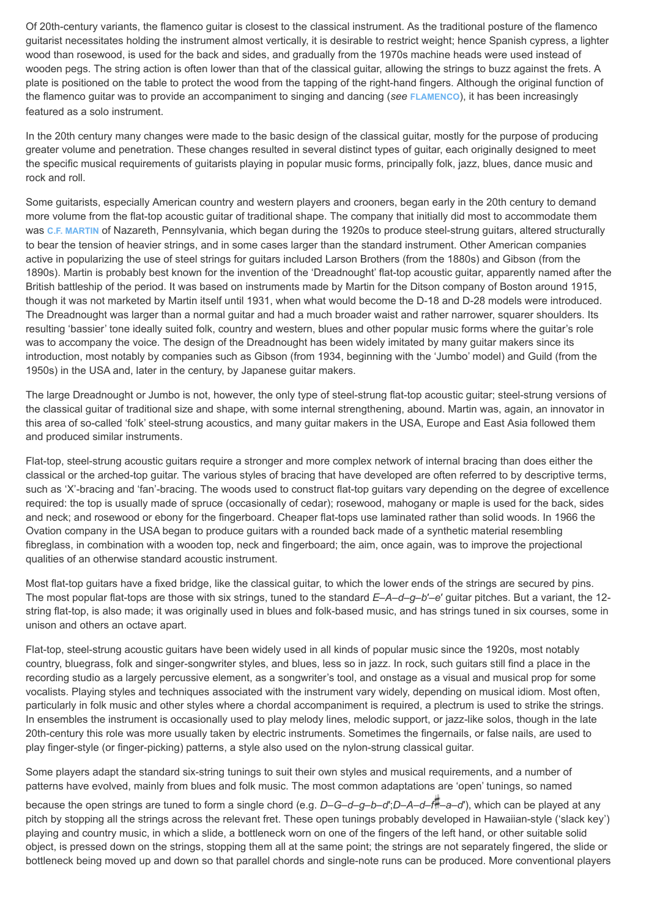Of 20th-century variants, the flamenco guitar is closest to the classical instrument. As the traditional posture of the flamenco guitarist necessitates holding the instrument almost vertically, it is desirable to restrict weight; hence Spanish cypress, a lighter wood than rosewood, is used for the back and sides, and gradually from the 1970s machine heads were used instead of wooden pegs. The string action is often lower than that of the classical guitar, allowing the strings to buzz against the frets. A plate is positioned on the table to protect the wood from the tapping of the right-hand fingers. Although the original function of the flamenco guitar was to provide an accompaniment to singing and dancing (*see* **[FLAMENCO](http://www.oxfordmusiconline.com/subscriber/article/grove/music/09780)**), it has been increasingly featured as a solo instrument.

In the 20th century many changes were made to the basic design of the classical guitar, mostly for the purpose of producing greater volume and penetration. These changes resulted in several distinct types of guitar, each originally designed to meet the specific musical requirements of guitarists playing in popular music forms, principally folk, jazz, blues, dance music and rock and roll.

Some guitarists, especially American country and western players and crooners, began early in the 20th century to demand more volume from the flat-top acoustic guitar of traditional shape. The company that initially did most to accommodate them was **[C.F. MARTIN](http://www.oxfordmusiconline.com/subscriber/article/grove/music/17888)** of Nazareth, Pennsylvania, which began during the 1920s to produce steel-strung guitars, altered structurally to bear the tension of heavier strings, and in some cases larger than the standard instrument. Other American companies active in popularizing the use of steel strings for guitars included Larson Brothers (from the 1880s) and Gibson (from the 1890s). Martin is probably best known for the invention of the 'Dreadnought' flat-top acoustic guitar, apparently named after the British battleship of the period. It was based on instruments made by Martin for the Ditson company of Boston around 1915, though it was not marketed by Martin itself until 1931, when what would become the D-18 and D-28 models were introduced. The Dreadnought was larger than a normal guitar and had a much broader waist and rather narrower, squarer shoulders. Its resulting 'bassier' tone ideally suited folk, country and western, blues and other popular music forms where the guitar's role was to accompany the voice. The design of the Dreadnought has been widely imitated by many guitar makers since its introduction, most notably by companies such as Gibson (from 1934, beginning with the 'Jumbo' model) and Guild (from the 1950s) in the USA and, later in the century, by Japanese guitar makers.

The large Dreadnought or Jumbo is not, however, the only type of steel-strung flat-top acoustic guitar; steel-strung versions of the classical guitar of traditional size and shape, with some internal strengthening, abound. Martin was, again, an innovator in this area of so-called 'folk' steel-strung acoustics, and many guitar makers in the USA, Europe and East Asia followed them and produced similar instruments.

Flat-top, steel-strung acoustic guitars require a stronger and more complex network of internal bracing than does either the classical or the arched-top guitar. The various styles of bracing that have developed are often referred to by descriptive terms, such as 'X'-bracing and 'fan'-bracing. The woods used to construct flat-top guitars vary depending on the degree of excellence required: the top is usually made of spruce (occasionally of cedar); rosewood, mahogany or maple is used for the back, sides and neck; and rosewood or ebony for the fingerboard. Cheaper flat-tops use laminated rather than solid woods. In 1966 the Ovation company in the USA began to produce guitars with a rounded back made of a synthetic material resembling fibreglass, in combination with a wooden top, neck and fingerboard; the aim, once again, was to improve the projectional qualities of an otherwise standard acoustic instrument.

Most flat-top guitars have a fixed bridge, like the classical guitar, to which the lower ends of the strings are secured by pins. The most popular flat-tops are those with six strings, tuned to the standard *E*–*A*–*d*–*g*–*b*′–*e*′ guitar pitches. But a variant, the 12 string flat-top, is also made; it was originally used in blues and folk-based music, and has strings tuned in six courses, some in unison and others an octave apart.

Flat-top, steel-strung acoustic guitars have been widely used in all kinds of popular music since the 1920s, most notably country, bluegrass, folk and singer-songwriter styles, and blues, less so in jazz. In rock, such guitars still find a place in the recording studio as a largely percussive element, as a songwriter's tool, and onstage as a visual and musical prop for some vocalists. Playing styles and techniques associated with the instrument vary widely, depending on musical idiom. Most often, particularly in folk music and other styles where a chordal accompaniment is required, a plectrum is used to strike the strings. In ensembles the instrument is occasionally used to play melody lines, melodic support, or jazz-like solos, though in the late 20th-century this role was more usually taken by electric instruments. Sometimes the fingernails, or false nails, are used to play finger-style (or finger-picking) patterns, a style also used on the nylon-strung classical guitar.

Some players adapt the standard six-string tunings to suit their own styles and musical requirements, and a number of patterns have evolved, mainly from blues and folk music. The most common adaptations are 'open' tunings, so named

because the open strings are tuned to form a single chord (e.g. *D*–*G*–*d*–*g*–*b*–*d*′;*D*–*A*–*d*–*f* –*a*–*d*′), which can be played at any pitch by stopping all the strings across the relevant fret. These open tunings probably developed in Hawaiian-style ('slack key') playing and country music, in which a slide, a bottleneck worn on one of the fingers of the left hand, or other suitable solid object, is pressed down on the strings, stopping them all at the same point; the strings are not separately fingered, the slide or bottleneck being moved up and down so that parallel chords and single-note runs can be produced. More conventional players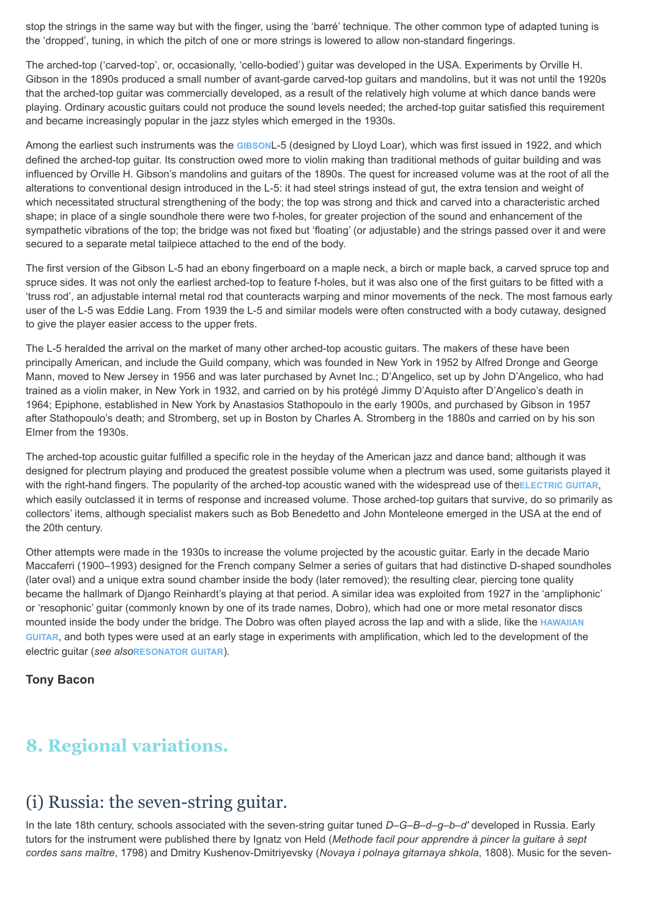stop the strings in the same way but with the finger, using the 'barré' technique. The other common type of adapted tuning is the 'dropped', tuning, in which the pitch of one or more strings is lowered to allow non-standard fingerings.

The arched-top ('carved-top', or, occasionally, 'cello-bodied') guitar was developed in the USA. Experiments by Orville H. Gibson in the 1890s produced a small number of avant-garde carved-top quitars and mandolins, but it was not until the 1920s that the arched-top guitar was commercially developed, as a result of the relatively high volume at which dance bands were playing. Ordinary acoustic guitars could not produce the sound levels needed; the arched-top guitar satisfied this requirement and became increasingly popular in the jazz styles which emerged in the 1930s.

Among the earliest such instruments was the **[GIBSON](http://www.oxfordmusiconline.com/subscriber/article/grove/music/49535)**L-5 (designed by Lloyd Loar), which was first issued in 1922, and which defined the arched-top guitar. Its construction owed more to violin making than traditional methods of guitar building and was influenced by Orville H. Gibson's mandolins and guitars of the 1890s. The quest for increased volume was at the root of all the alterations to conventional design introduced in the L-5: it had steel strings instead of gut, the extra tension and weight of which necessitated structural strengthening of the body; the top was strong and thick and carved into a characteristic arched shape; in place of a single soundhole there were two f-holes, for greater projection of the sound and enhancement of the sympathetic vibrations of the top; the bridge was not fixed but 'floating' (or adjustable) and the strings passed over it and were secured to a separate metal tailpiece attached to the end of the body.

The first version of the Gibson L-5 had an ebony fingerboard on a maple neck, a birch or maple back, a carved spruce top and spruce sides. It was not only the earliest arched-top to feature f-holes, but it was also one of the first guitars to be fitted with a 'truss rod', an adjustable internal metal rod that counteracts warping and minor movements of the neck. The most famous early user of the L-5 was Eddie Lang. From 1939 the L-5 and similar models were often constructed with a body cutaway, designed to give the player easier access to the upper frets.

The L-5 heralded the arrival on the market of many other arched-top acoustic guitars. The makers of these have been principally American, and include the Guild company, which was founded in New York in 1952 by Alfred Dronge and George Mann, moved to New Jersey in 1956 and was later purchased by Avnet Inc.; D'Angelico, set up by John D'Angelico, who had trained as a violin maker, in New York in 1932, and carried on by his protégé Jimmy D'Aquisto after D'Angelico's death in 1964; Epiphone, established in New York by Anastasios Stathopoulo in the early 1900s, and purchased by Gibson in 1957 after Stathopoulo's death; and Stromberg, set up in Boston by Charles A. Stromberg in the 1880s and carried on by his son Elmer from the 1930s.

The arched-top acoustic guitar fulfilled a specific role in the heyday of the American jazz and dance band; although it was designed for plectrum playing and produced the greatest possible volume when a plectrum was used, some guitarists played it with the right-hand fingers. The popularity of the arched-top acoustic waned with the widespread use of the [ELECTRIC GUITAR](http://www.oxfordmusiconline.com/subscriber/article/grove/music/08690), which easily outclassed it in terms of response and increased volume. Those arched-top guitars that survive, do so primarily as collectors' items, although specialist makers such as Bob Benedetto and John Monteleone emerged in the USA at the end of the 20th century.

Other attempts were made in the 1930s to increase the volume projected by the acoustic guitar. Early in the decade Mario Maccaferri (1900–1993) designed for the French company Selmer a series of guitars that had distinctive D-shaped soundholes (later oval) and a unique extra sound chamber inside the body (later removed); the resulting clear, piercing tone quality became the hallmark of Django Reinhardt's playing at that period. A similar idea was exploited from 1927 in the 'ampliphonic' or 'resophonic' guitar (commonly known by one of its trade names, Dobro), which had one or more metal resonator discs mounted inside the body under the bridge. The Dobro was often played across the lap and with a slide, like the **HAWAIIAN GUITAR**[, and both types were used at an early stage in experiments with amplification, which led to the development of the](http://www.oxfordmusiconline.com/subscriber/article/grove/music/49165) electric guitar (*see also***[RESONATOR GUITAR](http://www.oxfordmusiconline.com/subscriber/article/grove/music/49164)**).

#### **Tony Bacon**

# **8. Regional variations.**

### (i) Russia: the seven-string guitar.

In the late 18th century, schools associated with the seven-string guitar tuned *D–G–B–d–g–b–d′* developed in Russia. Early tutors for the instrument were published there by Ignatz von Held (*Methode facil pour apprendre à pincer la guitare à sept cordes sans maître*, 1798) and Dmitry Kushenov-Dmitriyevsky (*Novaya i polnaya gitarnaya shkola*, 1808). Music for the seven-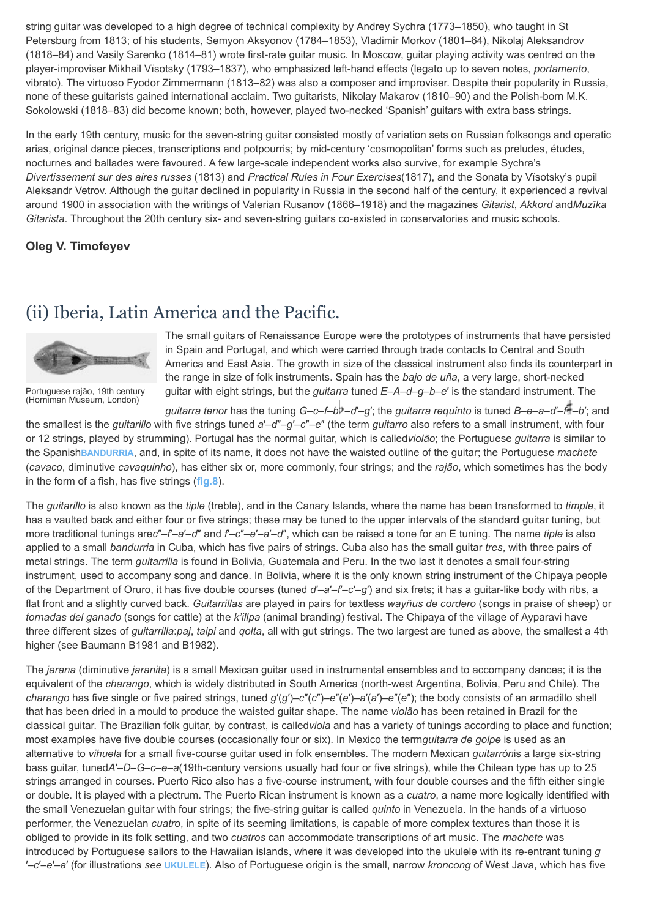string guitar was developed to a high degree of technical complexity by Andrey Sychra (1773–1850), who taught in St Petersburg from 1813; of his students, Semyon Aksyonov (1784–1853), Vladimir Morkov (1801–64), Nikolaj Aleksandrov (1818–84) and Vasily Sarenko (1814–81) wrote first-rate guitar music. In Moscow, guitar playing activity was centred on the player-improviser Mikhail Vïsotsky (1793–1837), who emphasized left-hand effects (legato up to seven notes, *portamento*, vibrato). The virtuoso Fyodor Zimmermann (1813–82) was also a composer and improviser. Despite their popularity in Russia, none of these guitarists gained international acclaim. Two guitarists, Nikolay Makarov (1810–90) and the Polish-born M.K. Sokolowski (1818–83) did become known; both, however, played two-necked 'Spanish' guitars with extra bass strings.

In the early 19th century, music for the seven-string guitar consisted mostly of variation sets on Russian folksongs and operatic arias, original dance pieces, transcriptions and potpourris; by mid-century 'cosmopolitan' forms such as preludes, études, nocturnes and ballades were favoured. A few large-scale independent works also survive, for example Sychra's *Divertissement sur des aires russes* (1813) and *Practical Rules in Four Exercises*(1817), and the Sonata by Vïsotsky's pupil Aleksandr Vetrov. Although the guitar declined in popularity in Russia in the second half of the century, it experienced a revival around 1900 in association with the writings of Valerian Rusanov (1866–1918) and the magazines *Gitarist*, *Akkord* and*Muzïka Gitarista*. Throughout the 20th century six- and seven-string guitars co-existed in conservatories and music schools.

#### **Oleg V. Timofeyev**

### (ii) Iberia, Latin America and the Pacific.

<span id="page-15-0"></span>

[Portuguese rajão, 19th century](http://www.oxfordmusiconline.com/subscriber/article/img/grove/music/F002473) (Horniman Museum, London)

The small guitars of Renaissance Europe were the prototypes of instruments that have persisted in Spain and Portugal, and which were carried through trade contacts to Central and South America and East Asia. The growth in size of the classical instrument also finds its counterpart in the range in size of folk instruments. Spain has the *bajo de uña*, a very large, short-necked guitar with eight strings, but the *guitarra* tuned *E*–*A*–*d*–*g*–*b*–*e*′ is the standard instrument. The

*guitarra tenor* has the tuning *G*–*c*–*f*–*b* –*d*′–*g*′; the *guitarra requinto* is tuned *B*–*e*–*a*–*d*′–*f* –*b*′; and the smallest is the *guitarillo* with five strings tuned *a*′–*d*″–*g*′–*c*″–*e*″ (the term *guitarro* also refers to a small instrument, with four or 12 strings, played by strumming). Portugal has the normal guitar, which is called*violão*; the Portuguese *guitarra* is similar to the Spanish**[BANDURRIA](http://www.oxfordmusiconline.com/subscriber/article/grove/music/01951)**, and, in spite of its name, it does not have the waisted outline of the guitar; the Portuguese *machete* (*cavaco*, diminutive *cavaquinho*), has either six or, more commonly, four strings; and the *rajão*, which sometimes has the body in the form of a fish, has five strings (**[fig.8](#page-15-0)**).

The *guitarillo* is also known as the *tiple* (treble), and in the Canary Islands, where the name has been transformed to *timple*, it has a vaulted back and either four or five strings; these may be tuned to the upper intervals of the standard guitar tuning, but more traditional tunings are*c*″–*f*′–*a*′–*d*″ and *f*′–*c*″–*e*′–*a*′–*d*″, which can be raised a tone for an E tuning. The name *tiple* is also applied to a small *bandurria* in Cuba, which has five pairs of strings. Cuba also has the small guitar *tres*, with three pairs of metal strings. The term *guitarrilla* is found in Bolivia, Guatemala and Peru. In the two last it denotes a small four-string instrument, used to accompany song and dance. In Bolivia, where it is the only known string instrument of the Chipaya people of the Department of Oruro, it has five double courses (tuned *d*′–*a*′–*f*′–*c*′–*g*′) and six frets; it has a guitar-like body with ribs, a flat front and a slightly curved back. *Guitarrillas* are played in pairs for textless *wayñus de cordero* (songs in praise of sheep) or *tornadas del ganado* (songs for cattle) at the *k'illpa* (animal branding) festival. The Chipaya of the village of Ayparavi have three different sizes of *guitarrilla*:*paj*, *taipi* and *qolta*, all with gut strings. The two largest are tuned as above, the smallest a 4th higher (see Baumann B1981 and B1982).

The *jarana* (diminutive *jaranita*) is a small Mexican guitar used in instrumental ensembles and to accompany dances; it is the equivalent of the *charango*, which is widely distributed in South America (north-west Argentina, Bolivia, Peru and Chile). The *charango* has five single or five paired strings, tuned *g*′(*g*′)–*c*″(*c*″)–*e*″(*e*′)–*a*′(*a*′)–*e*″(*e*″); the body consists of an armadillo shell that has been dried in a mould to produce the waisted guitar shape. The name *violão* has been retained in Brazil for the classical guitar. The Brazilian folk guitar, by contrast, is called*viola* and has a variety of tunings according to place and function; most examples have five double courses (occasionally four or six). In Mexico the term*guitarra de golpe* is used as an alternative to *vihuela* for a small five-course guitar used in folk ensembles. The modern Mexican *guitarrón*is a large six-string bass guitar, tuned*A*′–*D*–*G*–*c*–*e*–*a*(19th-century versions usually had four or five strings), while the Chilean type has up to 25 strings arranged in courses. Puerto Rico also has a five-course instrument, with four double courses and the fifth either single or double. It is played with a plectrum. The Puerto Rican instrument is known as a *cuatro*, a name more logically identified with the small Venezuelan guitar with four strings; the five-string guitar is called *quinto* in Venezuela. In the hands of a virtuoso performer, the Venezuelan *cuatro*, in spite of its seeming limitations, is capable of more complex textures than those it is obliged to provide in its folk setting, and two *cuatros* can accommodate transcriptions of art music. The *machete* was introduced by Portuguese sailors to the Hawaiian islands, where it was developed into the ukulele with its re-entrant tuning *g* ′–*c*′–*e*′–*a*′ (for illustrations *see* **[UKULELE](http://www.oxfordmusiconline.com/subscriber/article/grove/music/28722)**). Also of Portuguese origin is the small, narrow *kroncong* of West Java, which has five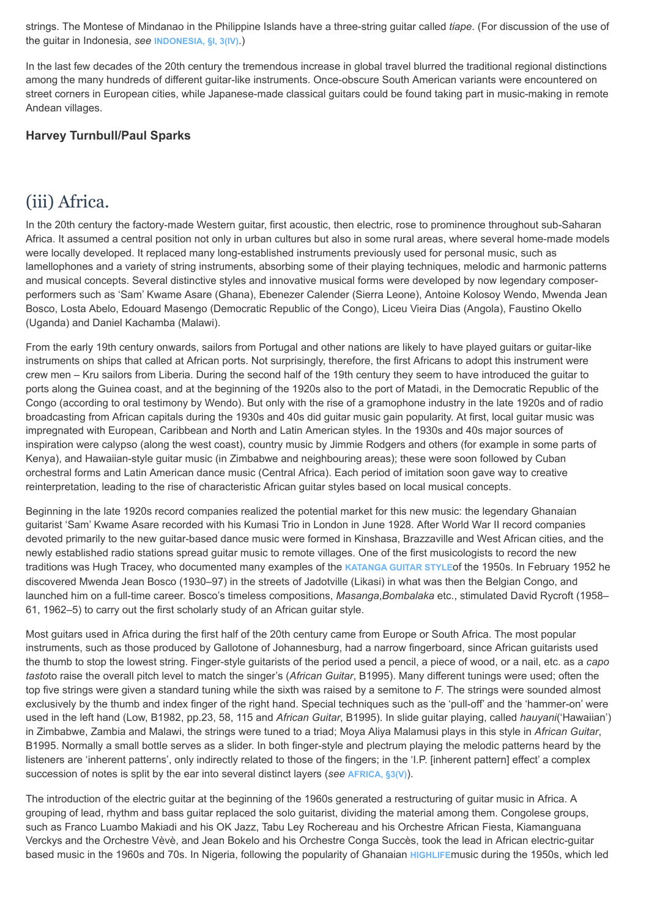strings. The Montese of Mindanao in the Philippine Islands have a three-string guitar called *tiape*. (For discussion of the use of the guitar in Indonesia, *see* **[INDONESIA, §I, 3\(IV\)](http://www.oxfordmusiconline.com/subscriber/article/grove/music/S42890.1.3.4)**.)

In the last few decades of the 20th century the tremendous increase in global travel blurred the traditional regional distinctions among the many hundreds of different guitar-like instruments. Once-obscure South American variants were encountered on street corners in European cities, while Japanese-made classical guitars could be found taking part in music-making in remote Andean villages.

#### **Harvey Turnbull/Paul Sparks**

### (iii) Africa.

In the 20th century the factory-made Western guitar, first acoustic, then electric, rose to prominence throughout sub-Saharan Africa. It assumed a central position not only in urban cultures but also in some rural areas, where several home-made models were locally developed. It replaced many long-established instruments previously used for personal music, such as lamellophones and a variety of string instruments, absorbing some of their playing techniques, melodic and harmonic patterns and musical concepts. Several distinctive styles and innovative musical forms were developed by now legendary composerperformers such as 'Sam' Kwame Asare (Ghana), Ebenezer Calender (Sierra Leone), Antoine Kolosoy Wendo, Mwenda Jean Bosco, Losta Abelo, Edouard Masengo (Democratic Republic of the Congo), Liceu Vieira Dias (Angola), Faustino Okello (Uganda) and Daniel Kachamba (Malawi).

From the early 19th century onwards, sailors from Portugal and other nations are likely to have played guitars or guitar-like instruments on ships that called at African ports. Not surprisingly, therefore, the first Africans to adopt this instrument were crew men – Kru sailors from Liberia. During the second half of the 19th century they seem to have introduced the guitar to ports along the Guinea coast, and at the beginning of the 1920s also to the port of Matadi, in the Democratic Republic of the Congo (according to oral testimony by Wendo). But only with the rise of a gramophone industry in the late 1920s and of radio broadcasting from African capitals during the 1930s and 40s did guitar music gain popularity. At first, local guitar music was impregnated with European, Caribbean and North and Latin American styles. In the 1930s and 40s major sources of inspiration were calypso (along the west coast), country music by Jimmie Rodgers and others (for example in some parts of Kenya), and Hawaiian-style guitar music (in Zimbabwe and neighbouring areas); these were soon followed by Cuban orchestral forms and Latin American dance music (Central Africa). Each period of imitation soon gave way to creative reinterpretation, leading to the rise of characteristic African guitar styles based on local musical concepts.

Beginning in the late 1920s record companies realized the potential market for this new music: the legendary Ghanaian guitarist 'Sam' Kwame Asare recorded with his Kumasi Trio in London in June 1928. After World War II record companies devoted primarily to the new guitar-based dance music were formed in Kinshasa, Brazzaville and West African cities, and the newly established radio stations spread guitar music to remote villages. One of the first musicologists to record the new traditions was Hugh Tracey, who documented many examples of the **[KATANGA GUITAR STYLE](http://www.oxfordmusiconline.com/subscriber/article/grove/music/49816)**of the 1950s. In February 1952 he discovered Mwenda Jean Bosco (1930–97) in the streets of Jadotville (Likasi) in what was then the Belgian Congo, and launched him on a full-time career. Bosco's timeless compositions, *Masanga*,*Bombalaka* etc., stimulated David Rycroft (1958– 61, 1962–5) to carry out the first scholarly study of an African guitar style.

Most guitars used in Africa during the first half of the 20th century came from Europe or South Africa. The most popular instruments, such as those produced by Gallotone of Johannesburg, had a narrow fingerboard, since African guitarists used the thumb to stop the lowest string. Finger-style guitarists of the period used a pencil, a piece of wood, or a nail, etc. as a *capo tasto*to raise the overall pitch level to match the singer's (*African Guitar*, B1995). Many different tunings were used; often the top five strings were given a standard tuning while the sixth was raised by a semitone to *F*. The strings were sounded almost exclusively by the thumb and index finger of the right hand. Special techniques such as the 'pull-off' and the 'hammer-on' were used in the left hand (Low, B1982, pp.23, 58, 115 and *African Guitar*, B1995). In slide guitar playing, called *hauyani*('Hawaiian') in Zimbabwe, Zambia and Malawi, the strings were tuned to a triad; Moya Aliya Malamusi plays in this style in *African Guitar*, B1995. Normally a small bottle serves as a slider. In both finger-style and plectrum playing the melodic patterns heard by the listeners are 'inherent patterns', only indirectly related to those of the fingers; in the 'I.P. [inherent pattern] effect' a complex succession of notes is split by the ear into several distinct layers (*see* **[AFRICA, §3\(V\)](http://www.oxfordmusiconline.com/subscriber/article/grove/music/S00268.3.5)**).

The introduction of the electric guitar at the beginning of the 1960s generated a restructuring of guitar music in Africa. A grouping of lead, rhythm and bass guitar replaced the solo guitarist, dividing the material among them. Congolese groups, such as Franco Luambo Makiadi and his OK Jazz, Tabu Ley Rochereau and his Orchestre African Fiesta, Kiamanguana Verckys and the Orchestre Vèvè, and Jean Bokelo and his Orchestre Conga Succès, took the lead in African electric-guitar based music in the 1960s and 70s. In Nigeria, following the popularity of Ghanaian **[HIGHLIFE](http://www.oxfordmusiconline.com/subscriber/article/grove/music/13000)**music during the 1950s, which led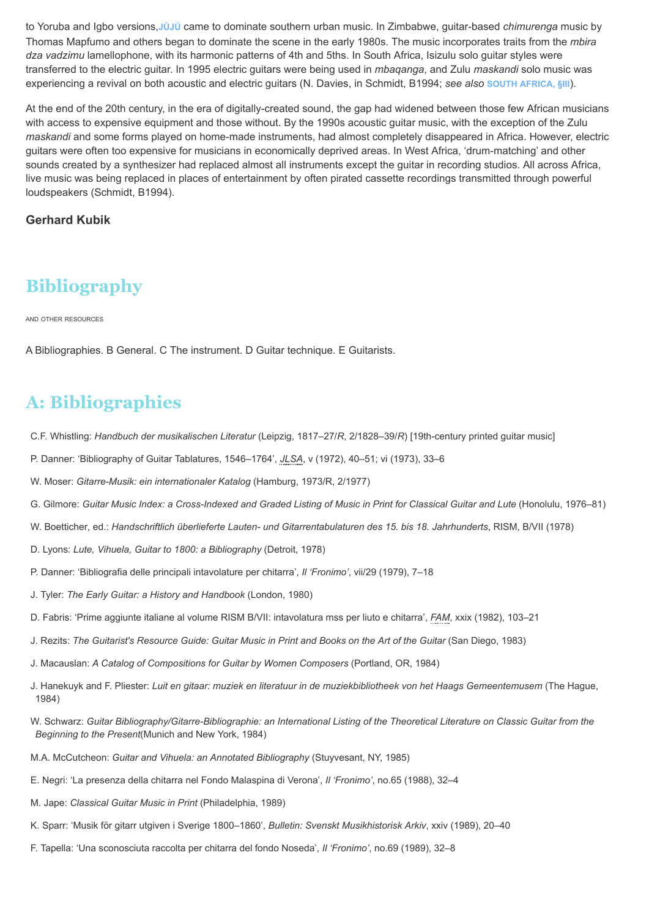to Yoruba and Igbo versions,**[JÙJÚ](http://www.oxfordmusiconline.com/subscriber/article/grove/music/40959)** came to dominate southern urban music. In Zimbabwe, guitar-based *chimurenga* music by Thomas Mapfumo and others began to dominate the scene in the early 1980s. The music incorporates traits from the *mbira dza vadzimu* lamellophone, with its harmonic patterns of 4th and 5ths. In South Africa, Isizulu solo guitar styles were transferred to the electric guitar. In 1995 electric guitars were being used in *mbaqanga*, and Zulu *maskandi* solo music was experiencing a revival on both acoustic and electric guitars (N. Davies, in Schmidt, B1994; *see also* **[SOUTH AFRICA, §III](http://www.oxfordmusiconline.com/subscriber/article/grove/music/S43028.3)**).

At the end of the 20th century, in the era of digitally-created sound, the gap had widened between those few African musicians with access to expensive equipment and those without. By the 1990s acoustic guitar music, with the exception of the Zulu *maskandi* and some forms played on home-made instruments, had almost completely disappeared in Africa. However, electric guitars were often too expensive for musicians in economically deprived areas. In West Africa, 'drum-matching' and other sounds created by a synthesizer had replaced almost all instruments except the guitar in recording studios. All across Africa, live music was being replaced in places of entertainment by often pirated cassette recordings transmitted through powerful loudspeakers (Schmidt, B1994).

#### **Gerhard Kubik**

# **Bibliography**

AND OTHER RESOURCES

A Bibliographies. B General. C The instrument. D Guitar technique. E Guitarists.

## **A: Bibliographies**

- C.F. Whistling: *Handbuch der musikalischen Literatur* (Leipzig, 1817–27/*R*, 2/1828–39/*R*) [19th-century printed guitar music]
- P. Danner: 'Bibliography of Guitar Tablatures, 1546–1764', *[JLSA](http://www.oxfordmusiconline.com/subscriber/article_citations/grove/music/43006#abbr-explained)*, v (1972), 40–51; vi (1973), 33–6
- W. Moser: *Gitarre-Musik: ein internationaler Katalog* (Hamburg, 1973/R, 2/1977)
- G. Gilmore: *Guitar Music Index: a Cross-Indexed and Graded Listing of Music in Print for Classical Guitar and Lute* (Honolulu, 1976–81)
- W. Boetticher, ed.: *Handschriftlich überlieferte Lauten- und Gitarrentabulaturen des 15. bis 18. Jahrhunderts*, RISM, B/VII (1978)
- D. Lyons: *Lute, Vihuela, Guitar to 1800: a Bibliography* (Detroit, 1978)
- P. Danner: 'Bibliografia delle principali intavolature per chitarra', *Il 'Fronimo'*, vii/29 (1979), 7–18
- J. Tyler: *The Early Guitar: a History and Handbook* (London, 1980)
- D. Fabris: 'Prime aggiunte italiane al volume RISM B/VII: intavolatura mss per liuto e chitarra', *[FAM](http://www.oxfordmusiconline.com/subscriber/article_citations/grove/music/43006#abbr-explained)*, xxix (1982), 103–21
- J. Rezits: *The Guitarist's Resource Guide: Guitar Music in Print and Books on the Art of the Guitar* (San Diego, 1983)
- J. Macauslan: *A Catalog of Compositions for Guitar by Women Composers* (Portland, OR, 1984)
- J. Hanekuyk and F. Pliester: *Luit en gitaar: muziek en literatuur in de muziekbibliotheek von het Haags Gemeentemusem* (The Hague, 1984)
- W. Schwarz: *Guitar Bibliography/Gitarre-Bibliographie: an International Listing of the Theoretical Literature on Classic Guitar from the Beginning to the Present*(Munich and New York, 1984)
- M.A. McCutcheon: *Guitar and Vihuela: an Annotated Bibliography* (Stuyvesant, NY, 1985)
- E. Negri: 'La presenza della chitarra nel Fondo Malaspina di Verona', *Il 'Fronimo'*, no.65 (1988), 32–4
- M. Jape: *Classical Guitar Music in Print* (Philadelphia, 1989)
- K. Sparr: 'Musik för gitarr utgiven i Sverige 1800–1860', *Bulletin: Svenskt Musikhistorisk Arkiv*, xxiv (1989), 20–40
- F. Tapella: 'Una sconosciuta raccolta per chitarra del fondo Noseda', *Il 'Fronimo'*, no.69 (1989), 32–8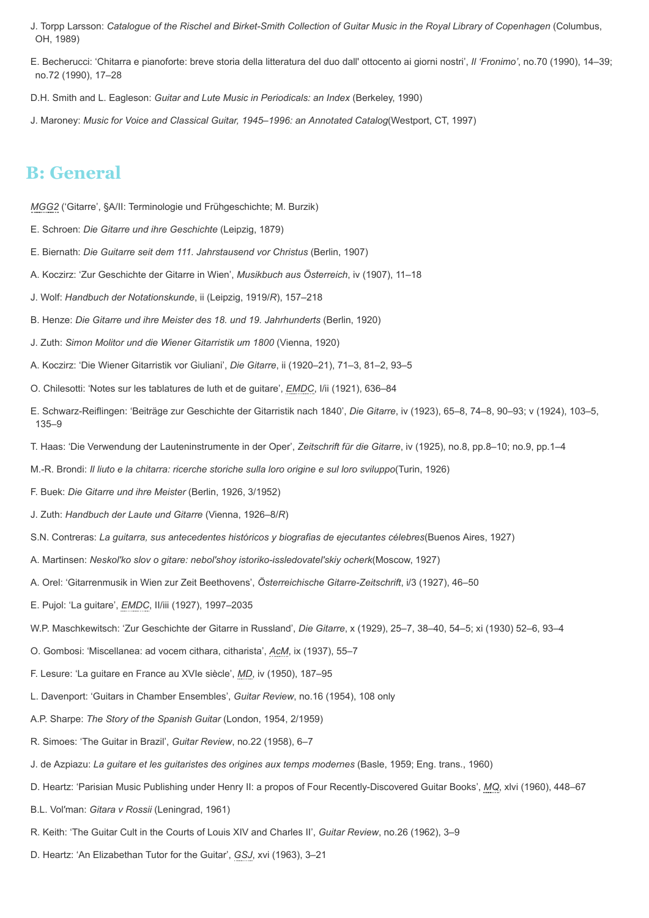- J. Torpp Larsson: *Catalogue of the Rischel and Birket-Smith Collection of Guitar Music in the Royal Library of Copenhagen* (Columbus, OH, 1989)
- E. Becherucci: 'Chitarra e pianoforte: breve storia della litteratura del duo dall' ottocento ai giorni nostri', *Il 'Fronimo'*, no.70 (1990), 14–39; no.72 (1990), 17–28
- D.H. Smith and L. Eagleson: *Guitar and Lute Music in Periodicals: an Index* (Berkeley, 1990)
- J. Maroney: *Music for Voice and Classical Guitar, 1945–1996: an Annotated Catalog*(Westport, CT, 1997)

### **B: General**

*[MGG2](http://www.oxfordmusiconline.com/subscriber/article_citations/grove/music/43006#abbr-explained)* ('Gitarre', §A/II: Terminologie und Frühgeschichte; M. Burzik)

- E. Schroen: *Die Gitarre und ihre Geschichte* (Leipzig, 1879)
- E. Biernath: *Die Guitarre seit dem 111. Jahrstausend vor Christus* (Berlin, 1907)
- A. Koczirz: 'Zur Geschichte der Gitarre in Wien', *Musikbuch aus Österreich*, iv (1907), 11–18
- J. Wolf: *Handbuch der Notationskunde*, ii (Leipzig, 1919/*R*), 157–218
- B. Henze: *Die Gitarre und ihre Meister des 18. und 19. Jahrhunderts* (Berlin, 1920)
- J. Zuth: *Simon Molitor und die Wiener Gitarristik um 1800* (Vienna, 1920)
- A. Koczirz: 'Die Wiener Gitarristik vor Giuliani', *Die Gitarre*, ii (1920–21), 71–3, 81–2, 93–5
- O. Chilesotti: 'Notes sur les tablatures de luth et de guitare', *[EMDC](http://www.oxfordmusiconline.com/subscriber/article_citations/grove/music/43006#abbr-explained)*, I/ii (1921), 636–84
- E. Schwarz-Reiflingen: 'Beiträge zur Geschichte der Gitarristik nach 1840', *Die Gitarre*, iv (1923), 65–8, 74–8, 90–93; v (1924), 103–5, 135–9
- T. Haas: 'Die Verwendung der Lauteninstrumente in der Oper', *Zeitschrift für die Gitarre*, iv (1925), no.8, pp.8–10; no.9, pp.1–4
- M.-R. Brondi: *Il liuto e la chitarra: ricerche storiche sulla loro origine e sul loro sviluppo*(Turin, 1926)
- F. Buek: *Die Gitarre und ihre Meister* (Berlin, 1926, 3/1952)
- J. Zuth: *Handbuch der Laute und Gitarre* (Vienna, 1926–8/*R*)
- S.N. Contreras: *La guitarra, sus antecedentes históricos y biografias de ejecutantes célebres*(Buenos Aires, 1927)
- A. Martinsen: *Neskol′ko slov o gitare: nebol′shoy istoriko-issledovatel′skiy ocherk*(Moscow, 1927)
- A. Orel: 'Gitarrenmusik in Wien zur Zeit Beethovens', *Österreichische Gitarre-Zeitschrift*, i/3 (1927), 46–50
- E. Pujol: 'La guitare', *[EMDC](http://www.oxfordmusiconline.com/subscriber/article_citations/grove/music/43006#abbr-explained)*, II/iii (1927), 1997–2035
- W.P. Maschkewitsch: 'Zur Geschichte der Gitarre in Russland', *Die Gitarre*, x (1929), 25–7, 38–40, 54–5; xi (1930) 52–6, 93–4
- O. Gombosi: 'Miscellanea: ad vocem cithara, citharista', *[AcM](http://www.oxfordmusiconline.com/subscriber/article_citations/grove/music/43006#abbr-explained)*, ix (1937), 55–7
- F. Lesure: 'La guitare en France au XVIe siècle', *[MD](http://www.oxfordmusiconline.com/subscriber/article_citations/grove/music/43006#abbr-explained)*, iv (1950), 187–95
- L. Davenport: 'Guitars in Chamber Ensembles', *Guitar Review*, no.16 (1954), 108 only
- A.P. Sharpe: *The Story of the Spanish Guitar* (London, 1954, 2/1959)
- R. Simoes: 'The Guitar in Brazil', *Guitar Review*, no.22 (1958), 6–7
- J. de Azpiazu: *La guitare et les guitaristes des origines aux temps modernes* (Basle, 1959; Eng. trans., 1960)
- D. Heartz: 'Parisian Music Publishing under Henry II: a propos of Four Recently-Discovered Guitar Books', *[MQ](http://www.oxfordmusiconline.com/subscriber/article_citations/grove/music/43006#abbr-explained)*, xlvi (1960), 448–67
- B.L. Vol′man: *Gitara v Rossii* (Leningrad, 1961)
- R. Keith: 'The Guitar Cult in the Courts of Louis XIV and Charles II', *Guitar Review*, no.26 (1962), 3–9
- D. Heartz: 'An Elizabethan Tutor for the Guitar', *[GSJ](http://www.oxfordmusiconline.com/subscriber/article_citations/grove/music/43006#abbr-explained)*, xvi (1963), 3–21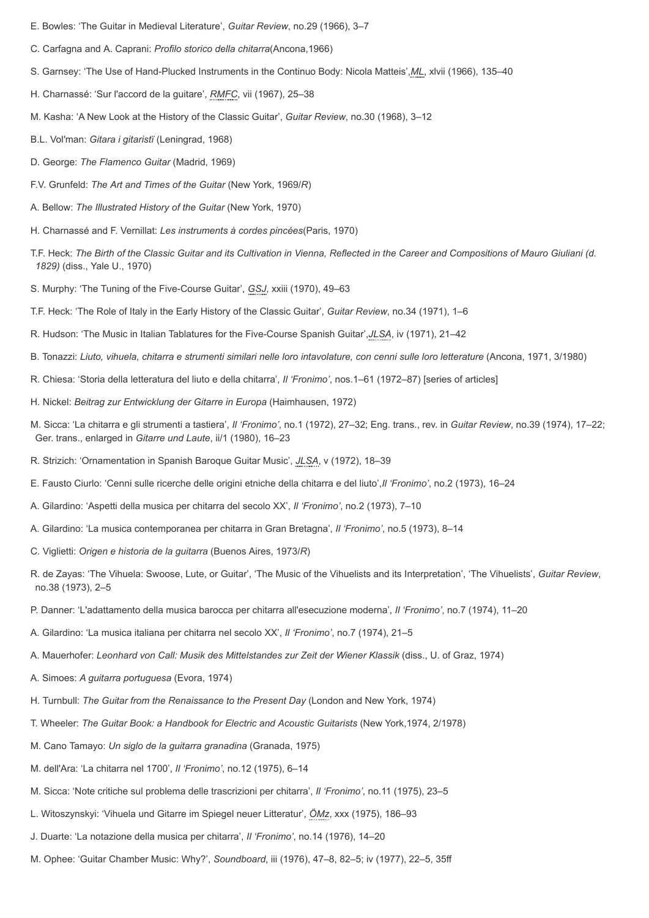- E. Bowles: 'The Guitar in Medieval Literature', *Guitar Review*, no.29 (1966), 3–7
- C. Carfagna and A. Caprani: *Profilo storico della chitarra*(Ancona,1966)
- S. Garnsey: 'The Use of Hand-Plucked Instruments in the Continuo Body: Nicola Matteis',*[ML](http://www.oxfordmusiconline.com/subscriber/article_citations/grove/music/43006#abbr-explained)*, xlvii (1966), 135–40
- H. Charnassé: 'Sur l'accord de la guitare', *[RMFC](http://www.oxfordmusiconline.com/subscriber/article_citations/grove/music/43006#abbr-explained)*, vii (1967), 25–38
- M. Kasha: 'A New Look at the History of the Classic Guitar', *Guitar Review*, no.30 (1968), 3–12
- B.L. Vol′man: *Gitara i gitaristï* (Leningrad, 1968)
- D. George: *The Flamenco Guitar* (Madrid, 1969)
- F.V. Grunfeld: *The Art and Times of the Guitar* (New York, 1969/*R*)
- A. Bellow: *The Illustrated History of the Guitar* (New York, 1970)
- H. Charnassé and F. Vernillat: *Les instruments à cordes pincées*(Paris, 1970)
- T.F. Heck: *The Birth of the Classic Guitar and its Cultivation in Vienna, Reflected in the Career and Compositions of Mauro Giuliani (d. 1829)* (diss., Yale U., 1970)
- S. Murphy: 'The Tuning of the Five-Course Guitar', *[GSJ](http://www.oxfordmusiconline.com/subscriber/article_citations/grove/music/43006#abbr-explained)*, xxiii (1970), 49–63
- T.F. Heck: 'The Role of Italy in the Early History of the Classic Guitar', *Guitar Review*, no.34 (1971), 1–6
- R. Hudson: 'The Music in Italian Tablatures for the Five-Course Spanish Guitar',*[JLSA](http://www.oxfordmusiconline.com/subscriber/article_citations/grove/music/43006#abbr-explained)*, iv (1971), 21–42
- B. Tonazzi: *Liuto, vihuela, chitarra e strumenti similari nelle loro intavolature, con cenni sulle loro letterature* (Ancona, 1971, 3/1980)
- R. Chiesa: 'Storia della letteratura del liuto e della chitarra', *Il 'Fronimo'*, nos.1–61 (1972–87) [series of articles]
- H. Nickel: *Beitrag zur Entwicklung der Gitarre in Europa* (Haimhausen, 1972)
- M. Sicca: 'La chitarra e gli strumenti a tastiera', *Il 'Fronimo'*, no.1 (1972), 27–32; Eng. trans., rev. in *Guitar Review*, no.39 (1974), 17–22; Ger. trans., enlarged in *Gitarre und Laute*, ii/1 (1980), 16–23
- R. Strizich: 'Ornamentation in Spanish Baroque Guitar Music', *[JLSA](http://www.oxfordmusiconline.com/subscriber/article_citations/grove/music/43006#abbr-explained)*, v (1972), 18–39
- E. Fausto Ciurlo: 'Cenni sulle ricerche delle origini etniche della chitarra e del liuto',*Il 'Fronimo'*, no.2 (1973), 16–24
- A. Gilardino: 'Aspetti della musica per chitarra del secolo XX', *Il 'Fronimo'*, no.2 (1973), 7–10
- A. Gilardino: 'La musica contemporanea per chitarra in Gran Bretagna', *Il 'Fronimo'*, no.5 (1973), 8–14
- C. Viglietti: *Origen e historia de la guitarra* (Buenos Aires, 1973/*R*)
- R. de Zayas: 'The Vihuela: Swoose, Lute, or Guitar', 'The Music of the Vihuelists and its Interpretation', 'The Vihuelists', *Guitar Review*, no.38 (1973), 2–5
- P. Danner: 'L'adattamento della musica barocca per chitarra all'esecuzione moderna', *Il 'Fronimo'*, no.7 (1974), 11–20
- A. Gilardino: 'La musica italiana per chitarra nel secolo XX', *Il 'Fronimo'*, no.7 (1974), 21–5
- A. Mauerhofer: *Leonhard von Call: Musik des Mittelstandes zur Zeit der Wiener Klassik* (diss., U. of Graz, 1974)
- A. Simoes: *A guitarra portuguesa* (Evora, 1974)
- H. Turnbull: *The Guitar from the Renaissance to the Present Day* (London and New York, 1974)
- T. Wheeler: *The Guitar Book: a Handbook for Electric and Acoustic Guitarists* (New York,1974, 2/1978)
- M. Cano Tamayo: *Un siglo de la guitarra granadina* (Granada, 1975)
- M. dell'Ara: 'La chitarra nel 1700', *Il 'Fronimo'*, no.12 (1975), 6–14
- M. Sicca: 'Note critiche sul problema delle trascrizioni per chitarra', *Il 'Fronimo'*, no.11 (1975), 23–5
- L. Witoszynskyi: 'Vihuela und Gitarre im Spiegel neuer Litteratur', *[ÖMz](http://www.oxfordmusiconline.com/subscriber/article_citations/grove/music/43006#abbr-explained)*, xxx (1975), 186–93
- J. Duarte: 'La notazione della musica per chitarra', *Il 'Fronimo'*, no.14 (1976), 14–20
- M. Ophee: 'Guitar Chamber Music: Why?', *Soundboard*, iii (1976), 47–8, 82–5; iv (1977), 22–5, 35ff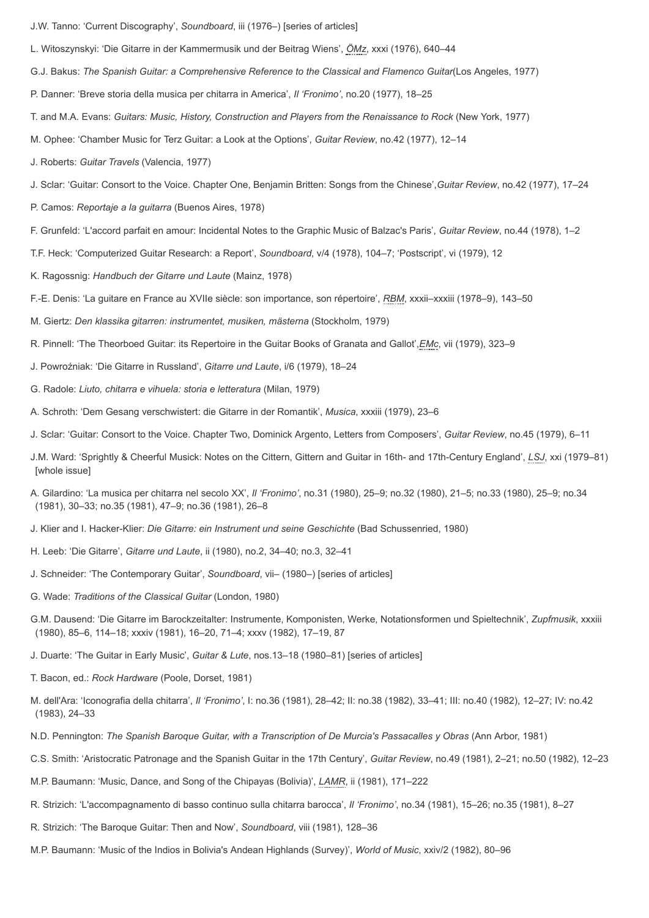- J.W. Tanno: 'Current Discography', *Soundboard*, iii (1976–) [series of articles]
- L. Witoszynskyi: 'Die Gitarre in der Kammermusik und der Beitrag Wiens', *[ÖMz](http://www.oxfordmusiconline.com/subscriber/article_citations/grove/music/43006#abbr-explained)*, xxxi (1976), 640–44
- G.J. Bakus: *The Spanish Guitar: a Comprehensive Reference to the Classical and Flamenco Guitar*(Los Angeles, 1977)
- P. Danner: 'Breve storia della musica per chitarra in America', *Il 'Fronimo'*, no.20 (1977), 18–25
- T. and M.A. Evans: *Guitars: Music, History, Construction and Players from the Renaissance to Rock* (New York, 1977)
- M. Ophee: 'Chamber Music for Terz Guitar: a Look at the Options', *Guitar Review*, no.42 (1977), 12–14
- J. Roberts: *Guitar Travels* (Valencia, 1977)
- J. Sclar: 'Guitar: Consort to the Voice. Chapter One, Benjamin Britten: Songs from the Chinese',*Guitar Review*, no.42 (1977), 17–24
- P. Camos: *Reportaje a la guitarra* (Buenos Aires, 1978)
- F. Grunfeld: 'L'accord parfait en amour: Incidental Notes to the Graphic Music of Balzac's Paris', *Guitar Review*, no.44 (1978), 1–2
- T.F. Heck: 'Computerized Guitar Research: a Report', *Soundboard*, v/4 (1978), 104–7; 'Postscript', vi (1979), 12
- K. Ragossnig: *Handbuch der Gitarre und Laute* (Mainz, 1978)
- F.-E. Denis: 'La guitare en France au XVIIe siècle: son importance, son répertoire', *[RBM](http://www.oxfordmusiconline.com/subscriber/article_citations/grove/music/43006#abbr-explained)*, xxxii–xxxiii (1978–9), 143–50
- M. Giertz: *Den klassika gitarren: instrumentet, musiken, mästerna* (Stockholm, 1979)
- R. Pinnell: 'The Theorboed Guitar: its Repertoire in the Guitar Books of Granata and Gallot',*[EMc](http://www.oxfordmusiconline.com/subscriber/article_citations/grove/music/43006#abbr-explained)*, vii (1979), 323–9
- J. Powroźniak: 'Die Gitarre in Russland', *Gitarre und Laute*, i/6 (1979), 18–24
- G. Radole: *Liuto, chitarra e vihuela: storia e letteratura* (Milan, 1979)
- A. Schroth: 'Dem Gesang verschwistert: die Gitarre in der Romantik', *Musica*, xxxiii (1979), 23–6
- J. Sclar: 'Guitar: Consort to the Voice. Chapter Two, Dominick Argento, Letters from Composers', *Guitar Review*, no.45 (1979), 6–11
- J.M. Ward: 'Sprightly & Cheerful Musick: Notes on the Cittern, Gittern and Guitar in 16th- and 17th-Century England', *[LSJ](http://www.oxfordmusiconline.com/subscriber/article_citations/grove/music/43006#abbr-explained)*, xxi (1979–81) [whole issue]
- A. Gilardino: 'La musica per chitarra nel secolo XX', *Il 'Fronimo'*, no.31 (1980), 25–9; no.32 (1980), 21–5; no.33 (1980), 25–9; no.34 (1981), 30–33; no.35 (1981), 47–9; no.36 (1981), 26–8
- J. Klier and I. Hacker-Klier: *Die Gitarre: ein Instrument und seine Geschichte* (Bad Schussenried, 1980)
- H. Leeb: 'Die Gitarre', *Gitarre und Laute*, ii (1980), no.2, 34–40; no.3, 32–41
- J. Schneider: 'The Contemporary Guitar', *Soundboard*, vii– (1980–) [series of articles]
- G. Wade: *Traditions of the Classical Guitar* (London, 1980)
- G.M. Dausend: 'Die Gitarre im Barockzeitalter: Instrumente, Komponisten, Werke, Notationsformen und Spieltechnik', *Zupfmusik*, xxxiii (1980), 85–6, 114–18; xxxiv (1981), 16–20, 71–4; xxxv (1982), 17–19, 87
- J. Duarte: 'The Guitar in Early Music', *Guitar & Lute*, nos.13–18 (1980–81) [series of articles]
- T. Bacon, ed.: *Rock Hardware* (Poole, Dorset, 1981)
- M. dell'Ara: 'Iconografia della chitarra', *Il 'Fronimo'*, I: no.36 (1981), 28–42; II: no.38 (1982), 33–41; III: no.40 (1982), 12–27; IV: no.42 (1983), 24–33
- N.D. Pennington: *The Spanish Baroque Guitar, with a Transcription of De Murcia's Passacalles y Obras* (Ann Arbor, 1981)
- C.S. Smith: 'Aristocratic Patronage and the Spanish Guitar in the 17th Century', *Guitar Review*, no.49 (1981), 2–21; no.50 (1982), 12–23
- M.P. Baumann: 'Music, Dance, and Song of the Chipayas (Bolivia)', *[LAMR](http://www.oxfordmusiconline.com/subscriber/article_citations/grove/music/43006#abbr-explained)*, ii (1981), 171–222
- R. Strizich: 'L'accompagnamento di basso continuo sulla chitarra barocca', *Il 'Fronimo'*, no.34 (1981), 15–26; no.35 (1981), 8–27
- R. Strizich: 'The Baroque Guitar: Then and Now', *Soundboard*, viii (1981), 128–36
- M.P. Baumann: 'Music of the Indios in Bolivia's Andean Highlands (Survey)', *World of Music*, xxiv/2 (1982), 80–96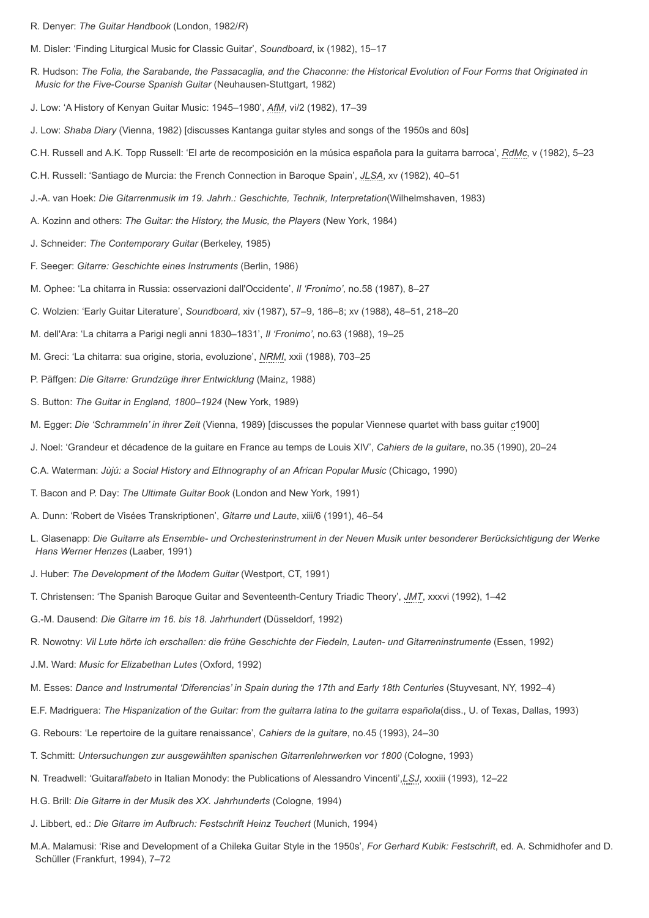R. Denyer: *The Guitar Handbook* (London, 1982/*R*)

M. Disler: 'Finding Liturgical Music for Classic Guitar', *Soundboard*, ix (1982), 15–17

R. Hudson: *The Folia, the Sarabande, the Passacaglia, and the Chaconne: the Historical Evolution of Four Forms that Originated in Music for the Five-Course Spanish Guitar* (Neuhausen-Stuttgart, 1982)

J. Low: 'A History of Kenyan Guitar Music: 1945–1980', *[AfM](http://www.oxfordmusiconline.com/subscriber/article_citations/grove/music/43006#abbr-explained)*, vi/2 (1982), 17–39

- J. Low: *Shaba Diary* (Vienna, 1982) [discusses Kantanga guitar styles and songs of the 1950s and 60s]
- C.H. Russell and A.K. Topp Russell: 'El arte de recomposición en la música española para la guitarra barroca', *[RdMc](http://www.oxfordmusiconline.com/subscriber/article_citations/grove/music/43006#abbr-explained)*, v (1982), 5–23
- C.H. Russell: 'Santiago de Murcia: the French Connection in Baroque Spain', *[JLSA](http://www.oxfordmusiconline.com/subscriber/article_citations/grove/music/43006#abbr-explained)*, xv (1982), 40–51
- J.-A. van Hoek: *Die Gitarrenmusik im 19. Jahrh.: Geschichte, Technik, Interpretation*(Wilhelmshaven, 1983)
- A. Kozinn and others: *The Guitar: the History, the Music, the Players* (New York, 1984)
- J. Schneider: *The Contemporary Guitar* (Berkeley, 1985)
- F. Seeger: *Gitarre: Geschichte eines Instruments* (Berlin, 1986)
- M. Ophee: 'La chitarra in Russia: osservazioni dall'Occidente', *Il 'Fronimo'*, no.58 (1987), 8–27
- C. Wolzien: 'Early Guitar Literature', *Soundboard*, xiv (1987), 57–9, 186–8; xv (1988), 48–51, 218–20
- M. dell'Ara: 'La chitarra a Parigi negli anni 1830–1831', *Il 'Fronimo'*, no.63 (1988), 19–25
- M. Greci: 'La chitarra: sua origine, storia, evoluzione', *[NRMI](http://www.oxfordmusiconline.com/subscriber/article_citations/grove/music/43006#abbr-explained)*, xxii (1988), 703–25
- P. Päffgen: *Die Gitarre: Grundzüge ihrer Entwicklung* (Mainz, 1988)
- S. Button: *The Guitar in England, 1800–1924* (New York, 1989)
- M. Egger: *Die 'Schrammeln' in ihrer Zeit* (Vienna, 1989) [discusses the popular Viennese quartet with bass guitar *c*1900]
- J. Noel: 'Grandeur et décadence de la guitare en France au temps de Louis XIV', *Cahiers de la guitare*, no.35 (1990), 20–24
- C.A. Waterman: *Jùjú: a Social History and Ethnography of an African Popular Music* (Chicago, 1990)
- T. Bacon and P. Day: *The Ultimate Guitar Book* (London and New York, 1991)
- A. Dunn: 'Robert de Visées Transkriptionen', *Gitarre und Laute*, xiii/6 (1991), 46–54
- L. Glasenapp: *Die Guitarre als Ensemble- und Orchesterinstrument in der Neuen Musik unter besonderer Berücksichtigung der Werke Hans Werner Henzes* (Laaber, 1991)
- J. Huber: *The Development of the Modern Guitar* (Westport, CT, 1991)
- T. Christensen: 'The Spanish Baroque Guitar and Seventeenth-Century Triadic Theory', *[JMT](http://www.oxfordmusiconline.com/subscriber/article_citations/grove/music/43006#abbr-explained)*, xxxvi (1992), 1–42
- G.-M. Dausend: *Die Gitarre im 16. bis 18. Jahrhundert* (Düsseldorf, 1992)
- R. Nowotny: *Vil Lute hörte ich erschallen: die frühe Geschichte der Fiedeln, Lauten- und Gitarreninstrumente* (Essen, 1992)
- J.M. Ward: *Music for Elizabethan Lutes* (Oxford, 1992)
- M. Esses: *Dance and Instrumental 'Diferencias' in Spain during the 17th and Early 18th Centuries* (Stuyvesant, NY, 1992–4)
- E.F. Madriguera: *The Hispanization of the Guitar: from the guitarra latina to the guitarra española*(diss., U. of Texas, Dallas, 1993)
- G. Rebours: 'Le repertoire de la guitare renaissance', *Cahiers de la guitare*, no.45 (1993), 24–30
- T. Schmitt: *Untersuchungen zur ausgewählten spanischen Gitarrenlehrwerken vor 1800* (Cologne, 1993)
- N. Treadwell: 'Guitar*alfabeto* in Italian Monody: the Publications of Alessandro Vincenti',*[LSJ](http://www.oxfordmusiconline.com/subscriber/article_citations/grove/music/43006#abbr-explained)*, xxxiii (1993), 12–22
- H.G. Brill: *Die Gitarre in der Musik des XX. Jahrhunderts* (Cologne, 1994)
- J. Libbert, ed.: *Die Gitarre im Aufbruch: Festschrift Heinz Teuchert* (Munich, 1994)
- M.A. Malamusi: 'Rise and Development of a Chileka Guitar Style in the 1950s', *For Gerhard Kubik: Festschrift*, ed. A. Schmidhofer and D. Schüller (Frankfurt, 1994), 7–72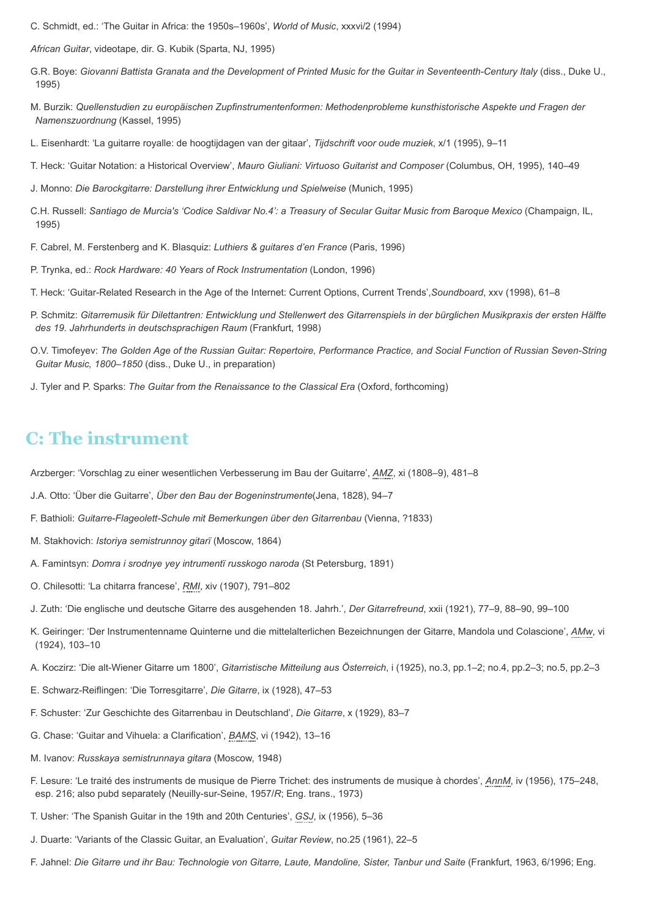C. Schmidt, ed.: 'The Guitar in Africa: the 1950s–1960s', *World of Music*, xxxvi/2 (1994)

*African Guitar*, videotape, dir. G. Kubik (Sparta, NJ, 1995)

- G.R. Boye: *Giovanni Battista Granata and the Development of Printed Music for the Guitar in Seventeenth-Century Italy* (diss., Duke U., 1995)
- M. Burzik: *Quellenstudien zu europäischen Zupfinstrumentenformen: Methodenprobleme kunsthistorische Aspekte und Fragen der Namenszuordnung* (Kassel, 1995)
- L. Eisenhardt: 'La guitarre royalle: de hoogtijdagen van der gitaar', *Tijdschrift voor oude muziek*, x/1 (1995), 9–11
- T. Heck: 'Guitar Notation: a Historical Overview', *Mauro Giuliani: Virtuoso Guitarist and Composer* (Columbus, OH, 1995), 140–49
- J. Monno: *Die Barockgitarre: Darstellung ihrer Entwicklung und Spielweise* (Munich, 1995)
- C.H. Russell: *Santiago de Murcia's 'Codice Saldivar No.4': a Treasury of Secular Guitar Music from Baroque Mexico* (Champaign, IL, 1995)
- F. Cabrel, M. Ferstenberg and K. Blasquiz: *Luthiers & guitares d'en France* (Paris, 1996)
- P. Trynka, ed.: *Rock Hardware: 40 Years of Rock Instrumentation* (London, 1996)
- T. Heck: 'Guitar-Related Research in the Age of the Internet: Current Options, Current Trends',*Soundboard*, xxv (1998), 61–8
- P. Schmitz: *Gitarremusik für Dilettantren: Entwicklung und Stellenwert des Gitarrenspiels in der bürglichen Musikpraxis der ersten Hälfte des 19. Jahrhunderts in deutschsprachigen Raum* (Frankfurt, 1998)
- O.V. Timofeyev: *The Golden Age of the Russian Guitar: Repertoire, Performance Practice, and Social Function of Russian Seven-String Guitar Music, 1800–1850* (diss., Duke U., in preparation)
- J. Tyler and P. Sparks: *The Guitar from the Renaissance to the Classical Era* (Oxford, forthcoming)

### **C: The instrument**

Arzberger: 'Vorschlag zu einer wesentlichen Verbesserung im Bau der Guitarre', *[AMZ](http://www.oxfordmusiconline.com/subscriber/article_citations/grove/music/43006#abbr-explained)*, xi (1808–9), 481–8

- J.A. Otto: 'Über die Guitarre', *Über den Bau der Bogeninstrumente*(Jena, 1828), 94–7
- F. Bathioli: *Guitarre-Flageolett-Schule mit Bemerkungen über den Gitarrenbau* (Vienna, ?1833)
- M. Stakhovich: *Istoriya semistrunnoy gitarï* (Moscow, 1864)
- A. Famintsyn: *Domra i srodnye yey intrumentï russkogo naroda* (St Petersburg, 1891)
- O. Chilesotti: 'La chitarra francese', *[RMI](http://www.oxfordmusiconline.com/subscriber/article_citations/grove/music/43006#abbr-explained)*, xiv (1907), 791–802
- J. Zuth: 'Die englische und deutsche Gitarre des ausgehenden 18. Jahrh.', *Der Gitarrefreund*, xxii (1921), 77–9, 88–90, 99–100
- K. Geiringer: 'Der Instrumentenname Quinterne und die mittelalterlichen Bezeichnungen der Gitarre, Mandola und Colascione', *[AMw](http://www.oxfordmusiconline.com/subscriber/article_citations/grove/music/43006#abbr-explained)*, vi (1924), 103–10
- A. Koczirz: 'Die alt-Wiener Gitarre um 1800', *Gitarristische Mitteilung aus Österreich*, i (1925), no.3, pp.1–2; no.4, pp.2–3; no.5, pp.2–3
- E. Schwarz-Reiflingen: 'Die Torresgitarre', *Die Gitarre*, ix (1928), 47–53
- F. Schuster: 'Zur Geschichte des Gitarrenbau in Deutschland', *Die Gitarre*, x (1929), 83–7
- G. Chase: 'Guitar and Vihuela: a Clarification', *[BAMS](http://www.oxfordmusiconline.com/subscriber/article_citations/grove/music/43006#abbr-explained)*, vi (1942), 13–16
- M. Ivanov: *Russkaya semistrunnaya gitara* (Moscow, 1948)
- F. Lesure: 'Le traité des instruments de musique de Pierre Trichet: des instruments de musique à chordes', *[AnnM](http://www.oxfordmusiconline.com/subscriber/article_citations/grove/music/43006#abbr-explained)*, iv (1956), 175–248, esp. 216; also pubd separately (Neuilly-sur-Seine, 1957/*R*; Eng. trans., 1973)
- T. Usher: 'The Spanish Guitar in the 19th and 20th Centuries', *[GSJ](http://www.oxfordmusiconline.com/subscriber/article_citations/grove/music/43006#abbr-explained)*, ix (1956), 5–36
- J. Duarte: 'Variants of the Classic Guitar, an Evaluation', *Guitar Review*, no.25 (1961), 22–5
- F. Jahnel: *Die Gitarre und ihr Bau: Technologie von Gitarre, Laute, Mandoline, Sister, Tanbur und Saite* (Frankfurt, 1963, 6/1996; Eng.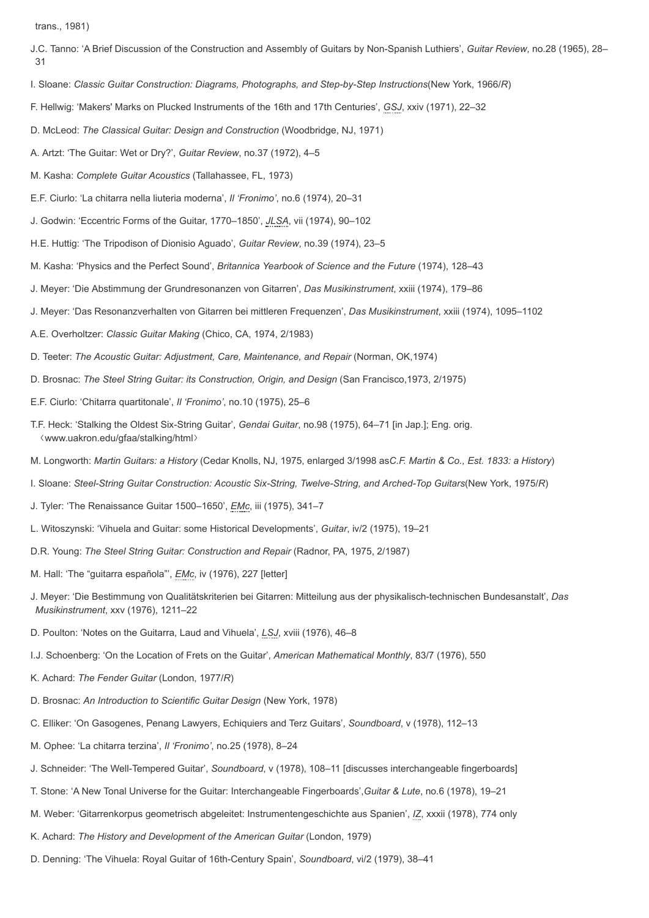trans., 1981)

- J.C. Tanno: 'A Brief Discussion of the Construction and Assembly of Guitars by Non-Spanish Luthiers', *Guitar Review*, no.28 (1965), 28– 31
- I. Sloane: *Classic Guitar Construction: Diagrams, Photographs, and Step-by-Step Instructions*(New York, 1966/*R*)
- F. Hellwig: 'Makers' Marks on Plucked Instruments of the 16th and 17th Centuries', *[GSJ](http://www.oxfordmusiconline.com/subscriber/article_citations/grove/music/43006#abbr-explained)*, xxiv (1971), 22–32
- D. McLeod: *The Classical Guitar: Design and Construction* (Woodbridge, NJ, 1971)
- A. Artzt: 'The Guitar: Wet or Dry?', *Guitar Review*, no.37 (1972), 4–5
- M. Kasha: *Complete Guitar Acoustics* (Tallahassee, FL, 1973)
- E.F. Ciurlo: 'La chitarra nella liuteria moderna', *Il 'Fronimo'*, no.6 (1974), 20–31
- J. Godwin: 'Eccentric Forms of the Guitar, 1770–1850', *[JLSA](http://www.oxfordmusiconline.com/subscriber/article_citations/grove/music/43006#abbr-explained)*, vii (1974), 90–102
- H.E. Huttig: 'The Tripodison of Dionisio Aguado', *Guitar Review*, no.39 (1974), 23–5
- M. Kasha: 'Physics and the Perfect Sound', *Britannica Yearbook of Science and the Future* (1974), 128–43
- J. Meyer: 'Die Abstimmung der Grundresonanzen von Gitarren', *Das Musikinstrument*, xxiii (1974), 179–86
- J. Meyer: 'Das Resonanzverhalten von Gitarren bei mittleren Frequenzen', *Das Musikinstrument*, xxiii (1974), 1095–1102
- A.E. Overholtzer: *Classic Guitar Making* (Chico, CA, 1974, 2/1983)
- D. Teeter: *The Acoustic Guitar: Adjustment, Care, Maintenance, and Repair* (Norman, OK,1974)
- D. Brosnac: *The Steel String Guitar: its Construction, Origin, and Design* (San Francisco,1973, 2/1975)
- E.F. Ciurlo: 'Chitarra quartitonale', *Il 'Fronimo'*, no.10 (1975), 25–6
- T.F. Heck: 'Stalking the Oldest Six-String Guitar', *Gendai Guitar*, no.98 (1975), 64–71 [in Jap.]; Eng. orig. www.uakron.edu/gfaa/stalking/html-
- M. Longworth: *Martin Guitars: a History* (Cedar Knolls, NJ, 1975, enlarged 3/1998 as*C.F. Martin & Co., Est. 1833: a History*)
- I. Sloane: *Steel-String Guitar Construction: Acoustic Six-String, Twelve-String, and Arched-Top Guitars*(New York, 1975/*R*)
- J. Tyler: 'The Renaissance Guitar 1500–1650', *[EMc](http://www.oxfordmusiconline.com/subscriber/article_citations/grove/music/43006#abbr-explained)*, iii (1975), 341–7
- L. Witoszynski: 'Vihuela and Guitar: some Historical Developments', *Guitar*, iv/2 (1975), 19–21
- D.R. Young: *The Steel String Guitar: Construction and Repair* (Radnor, PA, 1975, 2/1987)
- M. Hall: 'The "guitarra española"', *[EMc](http://www.oxfordmusiconline.com/subscriber/article_citations/grove/music/43006#abbr-explained)*, iv (1976), 227 [letter]
- J. Meyer: 'Die Bestimmung von Qualitätskriterien bei Gitarren: Mitteilung aus der physikalisch-technischen Bundesanstalt', *Das Musikinstrument*, xxv (1976), 1211–22
- D. Poulton: 'Notes on the Guitarra, Laud and Vihuela', *[LSJ](http://www.oxfordmusiconline.com/subscriber/article_citations/grove/music/43006#abbr-explained)*, xviii (1976), 46–8
- I.J. Schoenberg: 'On the Location of Frets on the Guitar', *American Mathematical Monthly*, 83/7 (1976), 550
- K. Achard: *The Fender Guitar* (London, 1977/*R*)
- D. Brosnac: *An Introduction to Scientific Guitar Design* (New York, 1978)
- C. Elliker: 'On Gasogenes, Penang Lawyers, Echiquiers and Terz Guitars', *Soundboard*, v (1978), 112–13
- M. Ophee: 'La chitarra terzina', *Il 'Fronimo'*, no.25 (1978), 8–24
- J. Schneider: 'The Well-Tempered Guitar', *Soundboard*, v (1978), 108–11 [discusses interchangeable fingerboards]
- T. Stone: 'A New Tonal Universe for the Guitar: Interchangeable Fingerboards',*Guitar & Lute*, no.6 (1978), 19–21
- M. Weber: 'Gitarrenkorpus geometrisch abgeleitet: Instrumentengeschichte aus Spanien', *[IZ](http://www.oxfordmusiconline.com/subscriber/article_citations/grove/music/43006#abbr-explained)*, xxxii (1978), 774 only
- K. Achard: *The History and Development of the American Guitar* (London, 1979)
- D. Denning: 'The Vihuela: Royal Guitar of 16th-Century Spain', *Soundboard*, vi/2 (1979), 38–41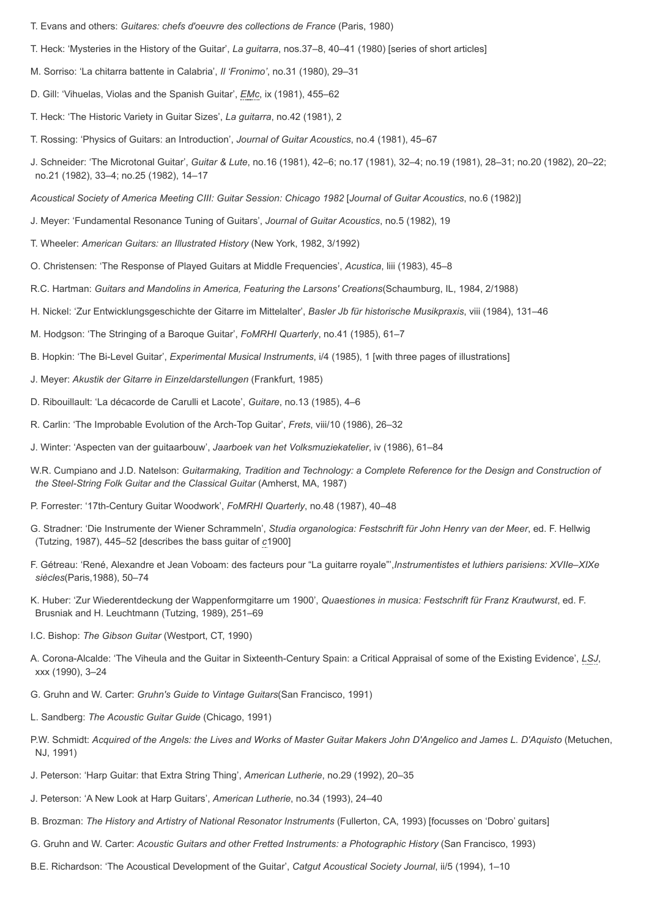- T. Evans and others: *Guitares: chefs d'oeuvre des collections de France* (Paris, 1980)
- T. Heck: 'Mysteries in the History of the Guitar', *La guitarra*, nos.37–8, 40–41 (1980) [series of short articles]
- M. Sorriso: 'La chitarra battente in Calabria', *Il 'Fronimo'*, no.31 (1980), 29–31
- D. Gill: 'Vihuelas, Violas and the Spanish Guitar', *[EMc](http://www.oxfordmusiconline.com/subscriber/article_citations/grove/music/43006#abbr-explained)*, ix (1981), 455–62
- T. Heck: 'The Historic Variety in Guitar Sizes', *La guitarra*, no.42 (1981), 2
- T. Rossing: 'Physics of Guitars: an Introduction', *Journal of Guitar Acoustics*, no.4 (1981), 45–67
- J. Schneider: 'The Microtonal Guitar', *Guitar & Lute*, no.16 (1981), 42–6; no.17 (1981), 32–4; no.19 (1981), 28–31; no.20 (1982), 20–22; no.21 (1982), 33–4; no.25 (1982), 14–17

*Acoustical Society of America Meeting CIII: Guitar Session: Chicago 1982* [*Journal of Guitar Acoustics*, no.6 (1982)]

- J. Meyer: 'Fundamental Resonance Tuning of Guitars', *Journal of Guitar Acoustics*, no.5 (1982), 19
- T. Wheeler: *American Guitars: an Illustrated History* (New York, 1982, 3/1992)
- O. Christensen: 'The Response of Played Guitars at Middle Frequencies', *Acustica*, liii (1983), 45–8
- R.C. Hartman: *Guitars and Mandolins in America, Featuring the Larsons' Creations*(Schaumburg, IL, 1984, 2/1988)
- H. Nickel: 'Zur Entwicklungsgeschichte der Gitarre im Mittelalter', *Basler Jb für historische Musikpraxis*, viii (1984), 131–46
- M. Hodgson: 'The Stringing of a Baroque Guitar', *FoMRHI Quarterly*, no.41 (1985), 61–7
- B. Hopkin: 'The Bi-Level Guitar', *Experimental Musical Instruments*, i/4 (1985), 1 [with three pages of illustrations]
- J. Meyer: *Akustik der Gitarre in Einzeldarstellungen* (Frankfurt, 1985)
- D. Ribouillault: 'La décacorde de Carulli et Lacote', *Guitare*, no.13 (1985), 4–6
- R. Carlin: 'The Improbable Evolution of the Arch-Top Guitar', *Frets*, viii/10 (1986), 26–32
- J. Winter: 'Aspecten van der guitaarbouw', *Jaarboek van het Volksmuziekatelier*, iv (1986), 61–84
- W.R. Cumpiano and J.D. Natelson: *Guitarmaking, Tradition and Technology: a Complete Reference for the Design and Construction of the Steel-String Folk Guitar and the Classical Guitar* (Amherst, MA, 1987)
- P. Forrester: '17th-Century Guitar Woodwork', *FoMRHI Quarterly*, no.48 (1987), 40–48
- G. Stradner: 'Die Instrumente der Wiener Schrammeln', *Studia organologica: Festschrift für John Henry van der Meer*, ed. F. Hellwig (Tutzing, 1987), 445–52 [describes the bass guitar of *c*1900]
- F. Gétreau: 'René, Alexandre et Jean Voboam: des facteurs pour "La guitarre royale"',*Instrumentistes et luthiers parisiens: XVIIe–XIXe siècles*(Paris,1988), 50–74
- K. Huber: 'Zur Wiederentdeckung der Wappenformgitarre um 1900', *Quaestiones in musica: Festschrift für Franz Krautwurst*, ed. F. Brusniak and H. Leuchtmann (Tutzing, 1989), 251–69
- I.C. Bishop: *The Gibson Guitar* (Westport, CT, 1990)
- A. Corona-Alcalde: 'The Viheula and the Guitar in Sixteenth-Century Spain: a Critical Appraisal of some of the Existing Evidence', *[LSJ](http://www.oxfordmusiconline.com/subscriber/article_citations/grove/music/43006#abbr-explained)*, xxx (1990), 3–24
- G. Gruhn and W. Carter: *Gruhn's Guide to Vintage Guitars*(San Francisco, 1991)
- L. Sandberg: *The Acoustic Guitar Guide* (Chicago, 1991)
- P.W. Schmidt: Acquired of the Angels: the Lives and Works of Master Guitar Makers John D'Angelico and James L. D'Aquisto (Metuchen, NJ, 1991)
- J. Peterson: 'Harp Guitar: that Extra String Thing', *American Lutherie*, no.29 (1992), 20–35
- J. Peterson: 'A New Look at Harp Guitars', *American Lutherie*, no.34 (1993), 24–40
- B. Brozman: *The History and Artistry of National Resonator Instruments* (Fullerton, CA, 1993) [focusses on 'Dobro' guitars]
- G. Gruhn and W. Carter: *Acoustic Guitars and other Fretted Instruments: a Photographic History* (San Francisco, 1993)
- B.E. Richardson: 'The Acoustical Development of the Guitar', *Catgut Acoustical Society Journal*, ii/5 (1994), 1–10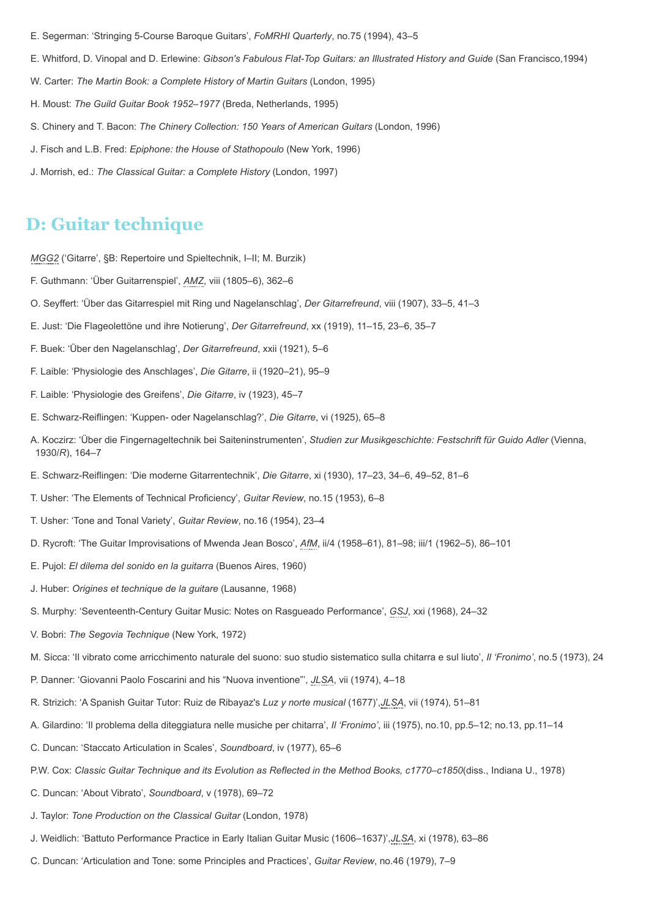- E. Segerman: 'Stringing 5-Course Baroque Guitars', *FoMRHI Quarterly*, no.75 (1994), 43–5
- E. Whitford, D. Vinopal and D. Erlewine: *Gibson's Fabulous Flat-Top Guitars: an Illustrated History and Guide* (San Francisco,1994)
- W. Carter: *The Martin Book: a Complete History of Martin Guitars* (London, 1995)
- H. Moust: *The Guild Guitar Book 1952–1977* (Breda, Netherlands, 1995)
- S. Chinery and T. Bacon: *The Chinery Collection: 150 Years of American Guitars* (London, 1996)
- J. Fisch and L.B. Fred: *Epiphone: the House of Stathopoulo* (New York, 1996)
- J. Morrish, ed.: *The Classical Guitar: a Complete History* (London, 1997)

### **D: Guitar technique**

*[MGG2](http://www.oxfordmusiconline.com/subscriber/article_citations/grove/music/43006#abbr-explained)* ('Gitarre', §B: Repertoire und Spieltechnik, I–II; M. Burzik)

- F. Guthmann: 'Über Guitarrenspiel', *[AMZ](http://www.oxfordmusiconline.com/subscriber/article_citations/grove/music/43006#abbr-explained)*, viii (1805–6), 362–6
- O. Seyffert: 'Über das Gitarrespiel mit Ring und Nagelanschlag', *Der Gitarrefreund*, viii (1907), 33–5, 41–3
- E. Just: 'Die Flageolettöne und ihre Notierung', *Der Gitarrefreund*, xx (1919), 11–15, 23–6, 35–7
- F. Buek: 'Über den Nagelanschlag', *Der Gitarrefreund*, xxii (1921), 5–6
- F. Laible: 'Physiologie des Anschlages', *Die Gitarre*, ii (1920–21), 95–9
- F. Laible: 'Physiologie des Greifens', *Die Gitarre*, iv (1923), 45–7
- E. Schwarz-Reiflingen: 'Kuppen- oder Nagelanschlag?', *Die Gitarre*, vi (1925), 65–8
- A. Koczirz: 'Über die Fingernageltechnik bei Saiteninstrumenten', *Studien zur Musikgeschichte: Festschrift für Guido Adler* (Vienna, 1930/*R*), 164–7
- E. Schwarz-Reiflingen: 'Die moderne Gitarrentechnik', *Die Gitarre*, xi (1930), 17–23, 34–6, 49–52, 81–6
- T. Usher: 'The Elements of Technical Proficiency', *Guitar Review*, no.15 (1953), 6–8
- T. Usher: 'Tone and Tonal Variety', *Guitar Review*, no.16 (1954), 23–4
- D. Rycroft: 'The Guitar Improvisations of Mwenda Jean Bosco', *[AfM](http://www.oxfordmusiconline.com/subscriber/article_citations/grove/music/43006#abbr-explained)*, ii/4 (1958–61), 81–98; iii/1 (1962–5), 86–101
- E. Pujol: *El dilema del sonido en la guitarra* (Buenos Aires, 1960)
- J. Huber: *Origines et technique de la guitare* (Lausanne, 1968)
- S. Murphy: 'Seventeenth-Century Guitar Music: Notes on Rasgueado Performance', *[GSJ](http://www.oxfordmusiconline.com/subscriber/article_citations/grove/music/43006#abbr-explained)*, xxi (1968), 24–32
- V. Bobri: *The Segovia Technique* (New York, 1972)
- M. Sicca: 'Il vibrato come arricchimento naturale del suono: suo studio sistematico sulla chitarra e sul liuto', *Il 'Fronimo'*, no.5 (1973), 24
- P. Danner: 'Giovanni Paolo Foscarini and his "Nuova inventione"', *[JLSA](http://www.oxfordmusiconline.com/subscriber/article_citations/grove/music/43006#abbr-explained)*, vii (1974), 4–18
- R. Strizich: 'A Spanish Guitar Tutor: Ruiz de Ribayaz's *Luz y norte musical* (1677)',*[JLSA](http://www.oxfordmusiconline.com/subscriber/article_citations/grove/music/43006#abbr-explained)*, vii (1974), 51–81
- A. Gilardino: 'Il problema della diteggiatura nelle musiche per chitarra', *Il 'Fronimo'*, iii (1975), no.10, pp.5–12; no.13, pp.11–14
- C. Duncan: 'Staccato Articulation in Scales', *Soundboard*, iv (1977), 65–6
- P.W. Cox: *Classic Guitar Technique and its Evolution as Reflected in the Method Books, c1770–c1850*(diss., Indiana U., 1978)
- C. Duncan: 'About Vibrato', *Soundboard*, v (1978), 69–72
- J. Taylor: *Tone Production on the Classical Guitar* (London, 1978)
- J. Weidlich: 'Battuto Performance Practice in Early Italian Guitar Music (1606–1637)',*[JLSA](http://www.oxfordmusiconline.com/subscriber/article_citations/grove/music/43006#abbr-explained)*, xi (1978), 63–86
- C. Duncan: 'Articulation and Tone: some Principles and Practices', *Guitar Review*, no.46 (1979), 7–9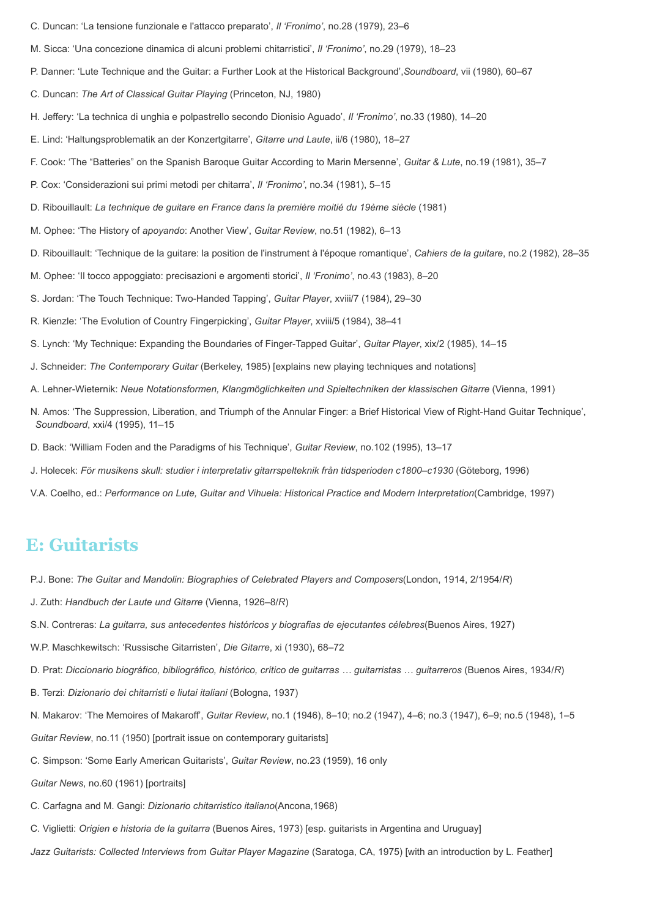- C. Duncan: 'La tensione funzionale e l'attacco preparato', *Il 'Fronimo'*, no.28 (1979), 23–6
- M. Sicca: 'Una concezione dinamica di alcuni problemi chitarristici', *Il 'Fronimo'*, no.29 (1979), 18–23
- P. Danner: 'Lute Technique and the Guitar: a Further Look at the Historical Background',*Soundboard*, vii (1980), 60–67
- C. Duncan: *The Art of Classical Guitar Playing* (Princeton, NJ, 1980)
- H. Jeffery: 'La technica di unghia e polpastrello secondo Dionisio Aguado', *Il 'Fronimo'*, no.33 (1980), 14–20
- E. Lind: 'Haltungsproblematik an der Konzertgitarre', *Gitarre und Laute*, ii/6 (1980), 18–27
- F. Cook: 'The "Batteries" on the Spanish Baroque Guitar According to Marin Mersenne', *Guitar & Lute*, no.19 (1981), 35–7
- P. Cox: 'Considerazioni sui primi metodi per chitarra', *Il 'Fronimo'*, no.34 (1981), 5–15
- D. Ribouillault: *La technique de guitare en France dans la première moitié du 19ème siècle* (1981)
- M. Ophee: 'The History of *apoyando*: Another View', *Guitar Review*, no.51 (1982), 6–13
- D. Ribouillault: 'Technique de la guitare: la position de l'instrument à l'époque romantique', *Cahiers de la guitare*, no.2 (1982), 28–35
- M. Ophee: 'Il tocco appoggiato: precisazioni e argomenti storici', *Il 'Fronimo'*, no.43 (1983), 8–20
- S. Jordan: 'The Touch Technique: Two-Handed Tapping', *Guitar Player*, xviii/7 (1984), 29–30
- R. Kienzle: 'The Evolution of Country Fingerpicking', *Guitar Player*, xviii/5 (1984), 38–41
- S. Lynch: 'My Technique: Expanding the Boundaries of Finger-Tapped Guitar', *Guitar Player*, xix/2 (1985), 14–15
- J. Schneider: *The Contemporary Guitar* (Berkeley, 1985) [explains new playing techniques and notations]
- A. Lehner-Wieternik: *Neue Notationsformen, Klangmöglichkeiten und Spieltechniken der klassischen Gitarre* (Vienna, 1991)
- N. Amos: 'The Suppression, Liberation, and Triumph of the Annular Finger: a Brief Historical View of Right-Hand Guitar Technique', *Soundboard*, xxi/4 (1995), 11–15
- D. Back: 'William Foden and the Paradigms of his Technique', *Guitar Review*, no.102 (1995), 13–17
- J. Holecek: *För musikens skull: studier i interpretativ gitarrspelteknik från tidsperioden c1800–c1930* (Göteborg, 1996)
- V.A. Coelho, ed.: *Performance on Lute, Guitar and Vihuela: Historical Practice and Modern Interpretation*(Cambridge, 1997)

### **E: Guitarists**

- P.J. Bone: *The Guitar and Mandolin: Biographies of Celebrated Players and Composers*(London, 1914, 2/1954/*R*)
- J. Zuth: *Handbuch der Laute und Gitarre* (Vienna, 1926–8/*R*)
- S.N. Contreras: *La guitarra, sus antecedentes históricos y biografias de ejecutantes célebres*(Buenos Aires, 1927)
- W.P. Maschkewitsch: 'Russische Gitarristen', *Die Gitarre*, xi (1930), 68–72
- D. Prat: *Diccionario biográfico, bibliográfico, histórico, crítico de guitarras … guitarristas … guitarreros* (Buenos Aires, 1934/*R*)
- B. Terzi: *Dizionario dei chitarristi e liutai italiani* (Bologna, 1937)
- N. Makarov: 'The Memoires of Makaroff', *Guitar Review*, no.1 (1946), 8–10; no.2 (1947), 4–6; no.3 (1947), 6–9; no.5 (1948), 1–5
- *Guitar Review*, no.11 (1950) [portrait issue on contemporary guitarists]
- C. Simpson: 'Some Early American Guitarists', *Guitar Review*, no.23 (1959), 16 only
- *Guitar News*, no.60 (1961) [portraits]
- C. Carfagna and M. Gangi: *Dizionario chitarristico italiano*(Ancona,1968)
- C. Viglietti: *Origien e historia de la guitarra* (Buenos Aires, 1973) [esp. guitarists in Argentina and Uruguay]
- *Jazz Guitarists: Collected Interviews from Guitar Player Magazine* (Saratoga, CA, 1975) [with an introduction by L. Feather]